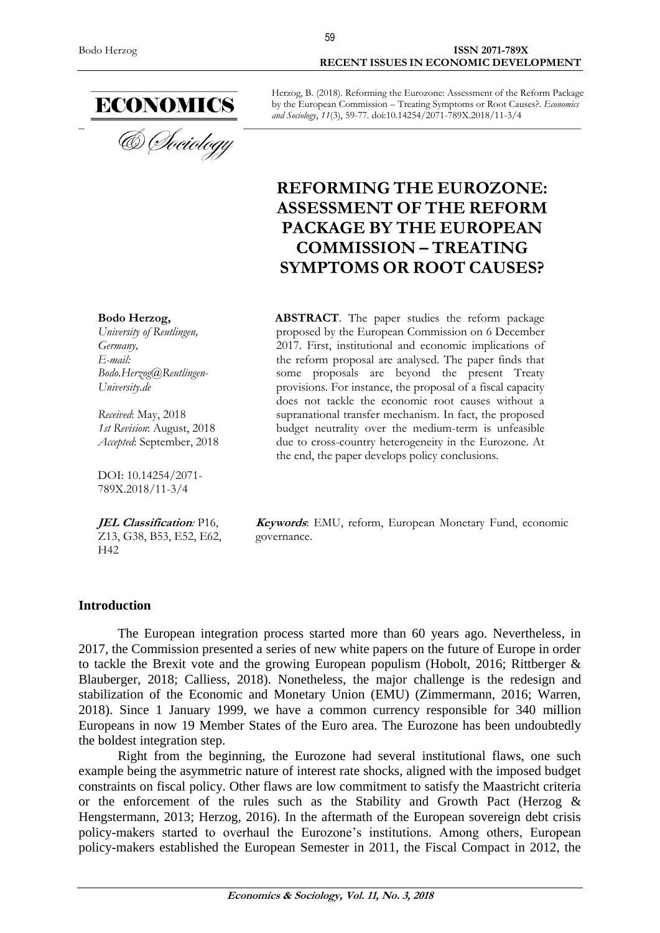

Bodo Herzog **ISSN 2071-789X RECENT ISSUES IN ECONOMIC DEVELOPMENT**

> Herzog, B. (2018). Reforming the Eurozone: Assessment of the Reform Package by the European Commission – Treating Symptoms or Root Causes?. *Economics and Sociology*, *11*(3), 59-77. doi:10.14254/2071-789X.2018/11-3/4

# **REFORMING THE EUROZONE: ASSESSMENT OF THE REFORM PACKAGE BY THE EUROPEAN COMMISSION – TREATING SYMPTOMS OR ROOT CAUSES?**

**ABSTRACT**. The paper studies the reform package proposed by the European Commission on 6 December 2017. First, institutional and economic implications of the reform proposal are analysed. The paper finds that some proposals are beyond the present Treaty provisions. For instance, the proposal of a fiscal capacity does not tackle the economic root causes without a supranational transfer mechanism. In fact, the proposed budget neutrality over the medium-term is unfeasible due to cross-country heterogeneity in the Eurozone. At the end, the paper develops policy conclusions.

*Received*: May, 2018 *1st Revision*: August, 2018 *Accepted*: September, 2018

*Bodo.Herzog@Reutlingen-*

**Bodo Herzog,** *University of [Reutlingen,](https://en.wikipedia.org/wiki/Podgorica)* 

*Germany, E-mail:* 

*University.de*

DOI: 10.14254/2071- 789X.2018/11-3/4

**JEL Classification***:* P16, Z13, G38, B53, E52, E62, H42

**Keywords**: EMU, reform, European Monetary Fund, economic governance.

#### **Introduction**

The European integration process started more than 60 years ago. Nevertheless, in 2017, the Commission presented a series of new white papers on the future of Europe in order to tackle the Brexit vote and the growing European populism (Hobolt, 2016; Rittberger & Blauberger, 2018; Calliess, 2018). Nonetheless, the major challenge is the redesign and stabilization of the Economic and Monetary Union (EMU) (Zimmermann, 2016; Warren, 2018). Since 1 January 1999, we have a common currency responsible for 340 million Europeans in now 19 Member States of the Euro area. The Eurozone has been undoubtedly the boldest integration step.

Right from the beginning, the Eurozone had several institutional flaws, one such example being the asymmetric nature of interest rate shocks, aligned with the imposed budget constraints on fiscal policy. Other flaws are low commitment to satisfy the Maastricht criteria or the enforcement of the rules such as the Stability and Growth Pact (Herzog & Hengstermann, 2013; Herzog, 2016). In the aftermath of the European sovereign debt crisis policy-makers started to overhaul the Eurozone's institutions. Among others, European policy-makers established the European Semester in 2011, the Fiscal Compact in 2012, the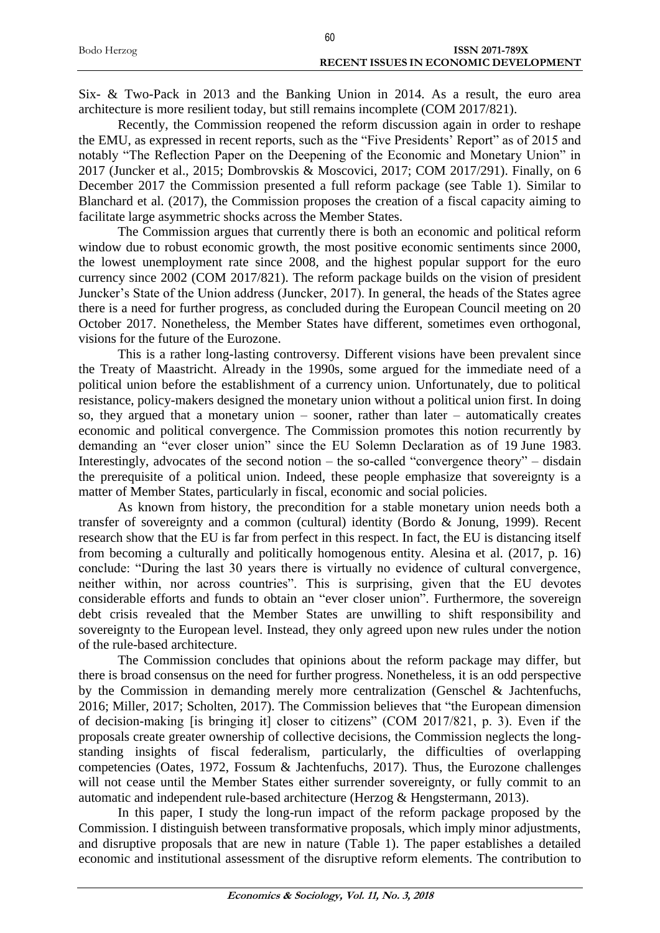|             | 60                                    |
|-------------|---------------------------------------|
| Bodo Herzog | <b>ISSN 2071-789X</b>                 |
|             | RECENT ISSUES IN ECONOMIC DEVELOPMENT |

Six- & Two-Pack in 2013 and the Banking Union in 2014. As a result, the euro area architecture is more resilient today, but still remains incomplete (COM 2017/821).

Recently, the Commission reopened the reform discussion again in order to reshape the EMU, as expressed in recent reports, such as the "Five Presidents' Report" as of 2015 and notably "The Reflection Paper on the Deepening of the Economic and Monetary Union" in 2017 (Juncker et al., 2015; Dombrovskis & Moscovici, 2017; COM 2017/291). Finally, on 6 December 2017 the Commission presented a full reform package (see Table 1). Similar to Blanchard et al. (2017), the Commission proposes the creation of a fiscal capacity aiming to facilitate large asymmetric shocks across the Member States.

The Commission argues that currently there is both an economic and political reform window due to robust economic growth, the most positive economic sentiments since 2000, the lowest unemployment rate since 2008, and the highest popular support for the euro currency since 2002 (COM 2017/821). The reform package builds on the vision of president Juncker's State of the Union address (Juncker, 2017). In general, the heads of the States agree there is a need for further progress, as concluded during the European Council meeting on 20 October 2017. Nonetheless, the Member States have different, sometimes even orthogonal, visions for the future of the Eurozone.

This is a rather long-lasting controversy. Different visions have been prevalent since the Treaty of Maastricht. Already in the 1990s, some argued for the immediate need of a political union before the establishment of a currency union. Unfortunately, due to political resistance, policy-makers designed the monetary union without a political union first. In doing so, they argued that a monetary union – sooner, rather than later – automatically creates economic and political convergence. The Commission promotes this notion recurrently by demanding an "ever closer union" since the EU Solemn Declaration as of 19 June 1983. Interestingly, advocates of the second notion – the so-called "convergence theory" – disdain the prerequisite of a political union. Indeed, these people emphasize that sovereignty is a matter of Member States, particularly in fiscal, economic and social policies.

As known from history, the precondition for a stable monetary union needs both a transfer of sovereignty and a common (cultural) identity (Bordo & Jonung, 1999). Recent research show that the EU is far from perfect in this respect. In fact, the EU is distancing itself from becoming a culturally and politically homogenous entity. Alesina et al. (2017, p. 16) conclude: "During the last 30 years there is virtually no evidence of cultural convergence, neither within, nor across countries". This is surprising, given that the EU devotes considerable efforts and funds to obtain an "ever closer union". Furthermore, the sovereign debt crisis revealed that the Member States are unwilling to shift responsibility and sovereignty to the European level. Instead, they only agreed upon new rules under the notion of the rule-based architecture.

The Commission concludes that opinions about the reform package may differ, but there is broad consensus on the need for further progress. Nonetheless, it is an odd perspective by the Commission in demanding merely more centralization (Genschel & Jachtenfuchs, 2016; Miller, 2017; Scholten, 2017). The Commission believes that "the European dimension of decision-making [is bringing it] closer to citizens" (COM 2017/821, p. 3). Even if the proposals create greater ownership of collective decisions, the Commission neglects the longstanding insights of fiscal federalism, particularly, the difficulties of overlapping competencies (Oates, 1972, Fossum & Jachtenfuchs, 2017). Thus, the Eurozone challenges will not cease until the Member States either surrender sovereignty, or fully commit to an automatic and independent rule-based architecture (Herzog & Hengstermann, 2013).

In this paper, I study the long-run impact of the reform package proposed by the Commission. I distinguish between transformative proposals, which imply minor adjustments, and disruptive proposals that are new in nature (Table 1). The paper establishes a detailed economic and institutional assessment of the disruptive reform elements. The contribution to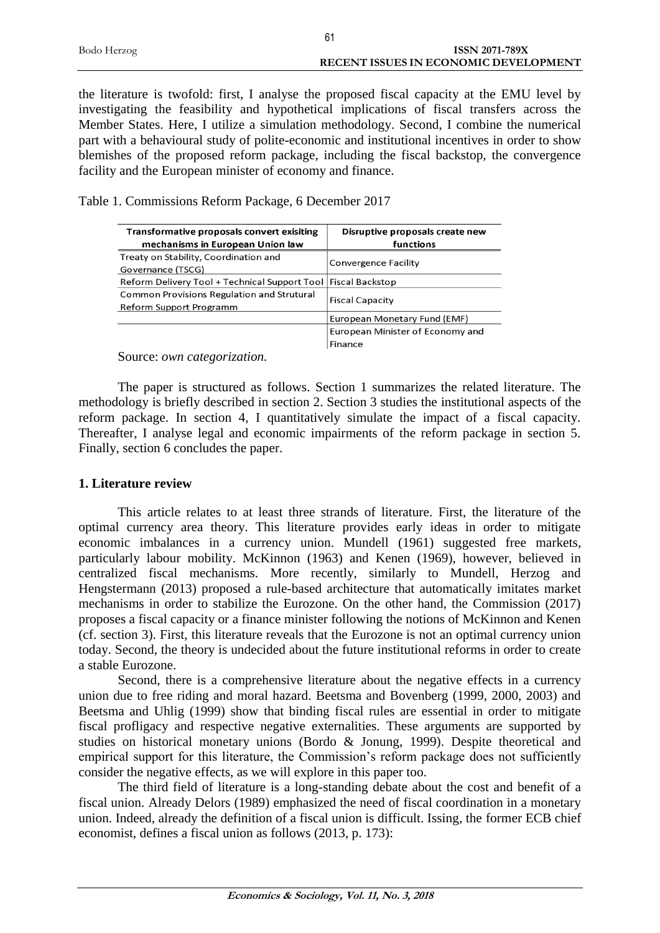| Bodo Herzog | <b>ISSN 2071-789X</b>                 |
|-------------|---------------------------------------|
|             | RECENT ISSUES IN ECONOMIC DEVELOPMENT |
|             |                                       |

 $64$ 

the literature is twofold: first, I analyse the proposed fiscal capacity at the EMU level by investigating the feasibility and hypothetical implications of fiscal transfers across the Member States. Here, I utilize a simulation methodology. Second, I combine the numerical part with a behavioural study of polite-economic and institutional incentives in order to show blemishes of the proposed reform package, including the fiscal backstop, the convergence facility and the European minister of economy and finance.

Table 1. Commissions Reform Package, 6 December 2017

| Transformative proposals convert exisiting                      | Disruptive proposals create new  |
|-----------------------------------------------------------------|----------------------------------|
| mechanisms in European Union law                                | functions                        |
| Treaty on Stability, Coordination and                           |                                  |
| Governance (TSCG)                                               | <b>Convergence Facility</b>      |
| Reform Delivery Tool + Technical Support Tool   Fiscal Backstop |                                  |
| <b>Common Provisions Regulation and Strutural</b>               |                                  |
| Reform Support Programm                                         | <b>Fiscal Capacity</b>           |
|                                                                 | European Monetary Fund (EMF)     |
|                                                                 | European Minister of Economy and |
|                                                                 | Finance                          |

Source: *own categorization.*

The paper is structured as follows. Section 1 summarizes the related literature. The methodology is briefly described in section 2. Section 3 studies the institutional aspects of the reform package. In section 4, I quantitatively simulate the impact of a fiscal capacity. Thereafter, I analyse legal and economic impairments of the reform package in section 5. Finally, section 6 concludes the paper.

## **1. Literature review**

This article relates to at least three strands of literature. First, the literature of the optimal currency area theory. This literature provides early ideas in order to mitigate economic imbalances in a currency union. Mundell (1961) suggested free markets, particularly labour mobility. McKinnon (1963) and Kenen (1969), however, believed in centralized fiscal mechanisms. More recently, similarly to Mundell, Herzog and Hengstermann (2013) proposed a rule-based architecture that automatically imitates market mechanisms in order to stabilize the Eurozone. On the other hand, the Commission (2017) proposes a fiscal capacity or a finance minister following the notions of McKinnon and Kenen (cf. section 3). First, this literature reveals that the Eurozone is not an optimal currency union today. Second, the theory is undecided about the future institutional reforms in order to create a stable Eurozone.

Second, there is a comprehensive literature about the negative effects in a currency union due to free riding and moral hazard. Beetsma and Bovenberg (1999, 2000, 2003) and Beetsma and Uhlig (1999) show that binding fiscal rules are essential in order to mitigate fiscal profligacy and respective negative externalities. These arguments are supported by studies on historical monetary unions (Bordo & Jonung, 1999). Despite theoretical and empirical support for this literature, the Commission's reform package does not sufficiently consider the negative effects, as we will explore in this paper too.

The third field of literature is a long-standing debate about the cost and benefit of a fiscal union. Already Delors (1989) emphasized the need of fiscal coordination in a monetary union. Indeed, already the definition of a fiscal union is difficult. Issing, the former ECB chief economist, defines a fiscal union as follows (2013, p. 173):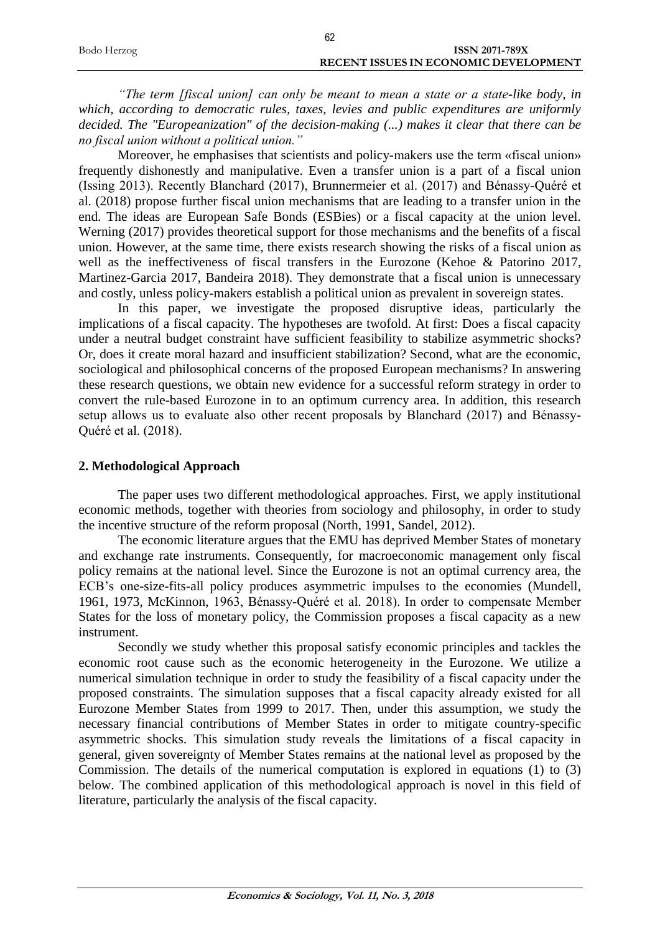|             | 62                                    |
|-------------|---------------------------------------|
| Bodo Herzog | <b>ISSN 2071-789X</b>                 |
|             | RECENT ISSUES IN ECONOMIC DEVELOPMENT |

*"The term [fiscal union] can only be meant to mean a state or a state-like body, in which, according to democratic rules, taxes, levies and public expenditures are uniformly decided. The "Europeanization" of the decision-making (...) makes it clear that there can be no fiscal union without a political union."*

Moreover, he emphasises that scientists and policy-makers use the term «fiscal union» frequently dishonestly and manipulative. Even a transfer union is a part of a fiscal union (Issing 2013). Recently Blanchard (2017), Brunnermeier et al. (2017) and Bénassy-Quéré et al. (2018) propose further fiscal union mechanisms that are leading to a transfer union in the end. The ideas are European Safe Bonds (ESBies) or a fiscal capacity at the union level. Werning (2017) provides theoretical support for those mechanisms and the benefits of a fiscal union. However, at the same time, there exists research showing the risks of a fiscal union as well as the ineffectiveness of fiscal transfers in the Eurozone (Kehoe & Patorino 2017, Martinez-Garcia 2017, Bandeira 2018). They demonstrate that a fiscal union is unnecessary and costly, unless policy-makers establish a political union as prevalent in sovereign states.

In this paper, we investigate the proposed disruptive ideas, particularly the implications of a fiscal capacity. The hypotheses are twofold. At first: Does a fiscal capacity under a neutral budget constraint have sufficient feasibility to stabilize asymmetric shocks? Or, does it create moral hazard and insufficient stabilization? Second, what are the economic, sociological and philosophical concerns of the proposed European mechanisms? In answering these research questions, we obtain new evidence for a successful reform strategy in order to convert the rule-based Eurozone in to an optimum currency area. In addition, this research setup allows us to evaluate also other recent proposals by Blanchard (2017) and Bénassy-Quéré et al. (2018).

#### **2. Methodological Approach**

The paper uses two different methodological approaches. First, we apply institutional economic methods, together with theories from sociology and philosophy, in order to study the incentive structure of the reform proposal (North, 1991, Sandel, 2012).

The economic literature argues that the EMU has deprived Member States of monetary and exchange rate instruments. Consequently, for macroeconomic management only fiscal policy remains at the national level. Since the Eurozone is not an optimal currency area, the ECB's one-size-fits-all policy produces asymmetric impulses to the economies (Mundell, 1961, 1973, McKinnon, 1963, Bénassy-Quéré et al. 2018). In order to compensate Member States for the loss of monetary policy, the Commission proposes a fiscal capacity as a new instrument.

Secondly we study whether this proposal satisfy economic principles and tackles the economic root cause such as the economic heterogeneity in the Eurozone. We utilize a numerical simulation technique in order to study the feasibility of a fiscal capacity under the proposed constraints. The simulation supposes that a fiscal capacity already existed for all Eurozone Member States from 1999 to 2017. Then, under this assumption, we study the necessary financial contributions of Member States in order to mitigate country-specific asymmetric shocks. This simulation study reveals the limitations of a fiscal capacity in general, given sovereignty of Member States remains at the national level as proposed by the Commission. The details of the numerical computation is explored in equations (1) to (3) below. The combined application of this methodological approach is novel in this field of literature, particularly the analysis of the fiscal capacity.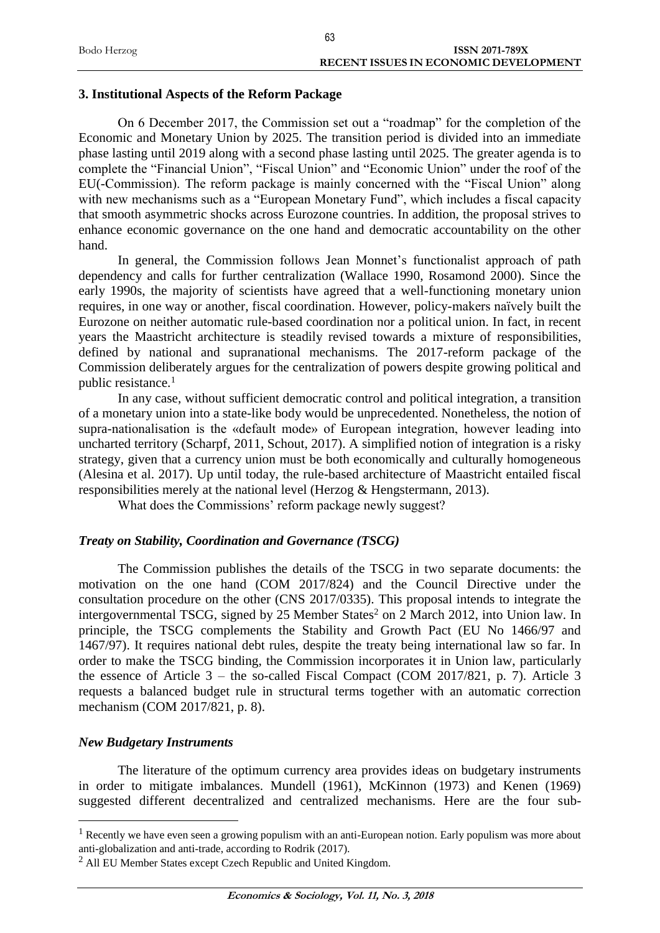|             | 63                                    |  |
|-------------|---------------------------------------|--|
| Bodo Herzog | <b>ISSN 2071-789X</b>                 |  |
|             | RECENT ISSUES IN ECONOMIC DEVELOPMENT |  |

#### **3. Institutional Aspects of the Reform Package**

On 6 December 2017, the Commission set out a "roadmap" for the completion of the Economic and Monetary Union by 2025. The transition period is divided into an immediate phase lasting until 2019 along with a second phase lasting until 2025. The greater agenda is to complete the "Financial Union", "Fiscal Union" and "Economic Union" under the roof of the EU(-Commission). The reform package is mainly concerned with the "Fiscal Union" along with new mechanisms such as a "European Monetary Fund", which includes a fiscal capacity that smooth asymmetric shocks across Eurozone countries. In addition, the proposal strives to enhance economic governance on the one hand and democratic accountability on the other hand.

In general, the Commission follows Jean Monnet's functionalist approach of path dependency and calls for further centralization (Wallace 1990, Rosamond 2000). Since the early 1990s, the majority of scientists have agreed that a well-functioning monetary union requires, in one way or another, fiscal coordination. However, policy-makers naïvely built the Eurozone on neither automatic rule-based coordination nor a political union. In fact, in recent years the Maastricht architecture is steadily revised towards a mixture of responsibilities, defined by national and supranational mechanisms. The 2017-reform package of the Commission deliberately argues for the centralization of powers despite growing political and public resistance.<sup>1</sup>

In any case, without sufficient democratic control and political integration, a transition of a monetary union into a state-like body would be unprecedented. Nonetheless, the notion of supra-nationalisation is the «default mode» of European integration, however leading into uncharted territory (Scharpf, 2011, Schout, 2017). A simplified notion of integration is a risky strategy, given that a currency union must be both economically and culturally homogeneous (Alesina et al. 2017). Up until today, the rule-based architecture of Maastricht entailed fiscal responsibilities merely at the national level (Herzog & Hengstermann, 2013).

What does the Commissions' reform package newly suggest?

#### *Treaty on Stability, Coordination and Governance (TSCG)*

The Commission publishes the details of the TSCG in two separate documents: the motivation on the one hand (COM 2017/824) and the Council Directive under the consultation procedure on the other (CNS 2017/0335). This proposal intends to integrate the intergovernmental TSCG, signed by 25 Member States<sup>2</sup> on 2 March 2012, into Union law. In principle, the TSCG complements the Stability and Growth Pact (EU No 1466/97 and 1467/97). It requires national debt rules, despite the treaty being international law so far. In order to make the TSCG binding, the Commission incorporates it in Union law, particularly the essence of Article  $3$  – the so-called Fiscal Compact (COM 2017/821, p. 7). Article 3 requests a balanced budget rule in structural terms together with an automatic correction mechanism (COM 2017/821, p. 8).

#### *New Budgetary Instruments*

<u>.</u>

The literature of the optimum currency area provides ideas on budgetary instruments in order to mitigate imbalances. Mundell (1961), McKinnon (1973) and Kenen (1969) suggested different decentralized and centralized mechanisms. Here are the four sub-

 $<sup>1</sup>$  Recently we have even seen a growing populism with an anti-European notion. Early populism was more about</sup> anti-globalization and anti-trade, according to Rodrik (2017).

<sup>2</sup> All EU Member States except Czech Republic and United Kingdom.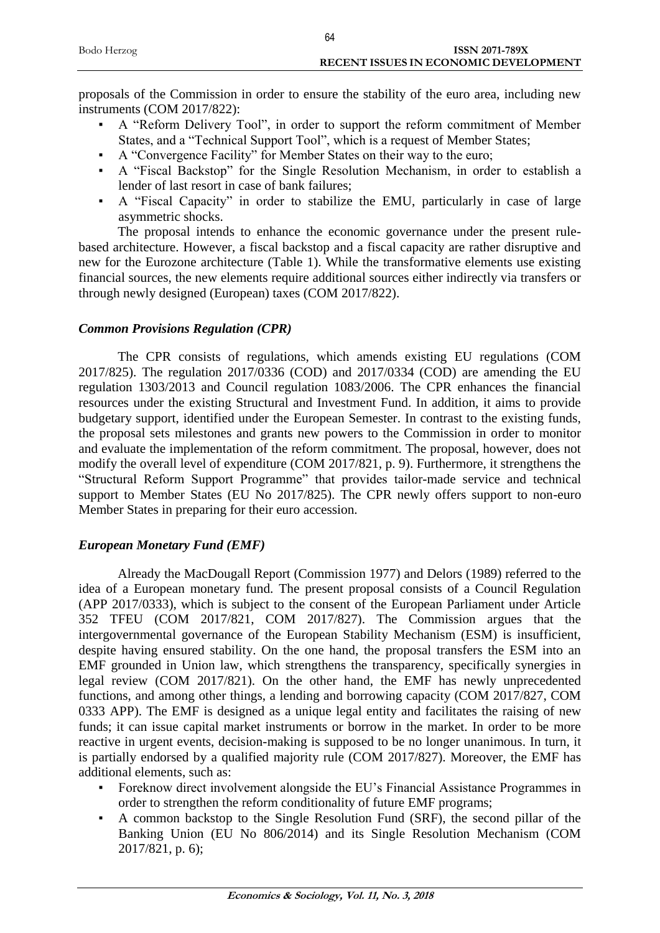|             | 64                                    |
|-------------|---------------------------------------|
| Bodo Herzog | ISSN 2071-789X                        |
|             | RECENT ISSUES IN ECONOMIC DEVELOPMENT |

proposals of the Commission in order to ensure the stability of the euro area, including new instruments (COM 2017/822):

- A "Reform Delivery Tool", in order to support the reform commitment of Member States, and a "Technical Support Tool", which is a request of Member States;
- A "Convergence Facility" for Member States on their way to the euro;
- A "Fiscal Backstop" for the Single Resolution Mechanism, in order to establish a lender of last resort in case of bank failures;
- A "Fiscal Capacity" in order to stabilize the EMU, particularly in case of large asymmetric shocks.

The proposal intends to enhance the economic governance under the present rulebased architecture. However, a fiscal backstop and a fiscal capacity are rather disruptive and new for the Eurozone architecture (Table 1). While the transformative elements use existing financial sources, the new elements require additional sources either indirectly via transfers or through newly designed (European) taxes (COM 2017/822).

#### *Common Provisions Regulation (CPR)*

The CPR consists of regulations, which amends existing EU regulations (COM 2017/825). The regulation 2017/0336 (COD) and 2017/0334 (COD) are amending the EU regulation 1303/2013 and Council regulation 1083/2006. The CPR enhances the financial resources under the existing Structural and Investment Fund. In addition, it aims to provide budgetary support, identified under the European Semester. In contrast to the existing funds, the proposal sets milestones and grants new powers to the Commission in order to monitor and evaluate the implementation of the reform commitment. The proposal, however, does not modify the overall level of expenditure (COM 2017/821, p. 9). Furthermore, it strengthens the "Structural Reform Support Programme" that provides tailor-made service and technical support to Member States (EU No 2017/825). The CPR newly offers support to non-euro Member States in preparing for their euro accession.

## *European Monetary Fund (EMF)*

Already the MacDougall Report (Commission 1977) and Delors (1989) referred to the idea of a European monetary fund. The present proposal consists of a Council Regulation (APP 2017/0333), which is subject to the consent of the European Parliament under Article 352 TFEU (COM 2017/821, COM 2017/827). The Commission argues that the intergovernmental governance of the European Stability Mechanism (ESM) is insufficient, despite having ensured stability. On the one hand, the proposal transfers the ESM into an EMF grounded in Union law, which strengthens the transparency, specifically synergies in legal review (COM 2017/821). On the other hand, the EMF has newly unprecedented functions, and among other things, a lending and borrowing capacity (COM 2017/827, COM 0333 APP). The EMF is designed as a unique legal entity and facilitates the raising of new funds; it can issue capital market instruments or borrow in the market. In order to be more reactive in urgent events, decision-making is supposed to be no longer unanimous. In turn, it is partially endorsed by a qualified majority rule (COM 2017/827). Moreover, the EMF has additional elements, such as:

- Foreknow direct involvement alongside the EU's Financial Assistance Programmes in order to strengthen the reform conditionality of future EMF programs;
- A common backstop to the Single Resolution Fund (SRF), the second pillar of the Banking Union (EU No 806/2014) and its Single Resolution Mechanism (COM 2017/821, p. 6);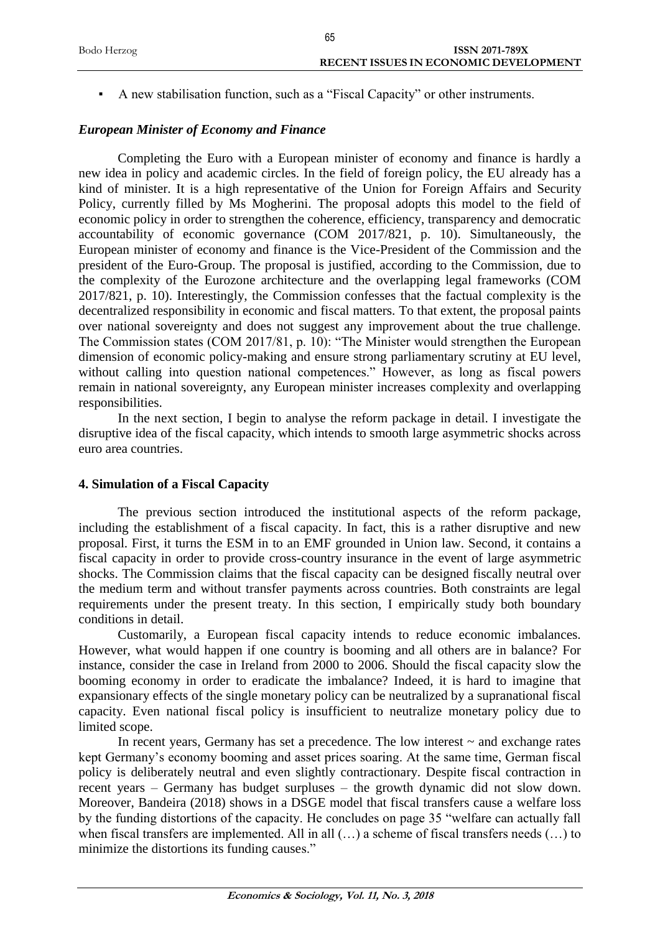|             | 65                                           |
|-------------|----------------------------------------------|
| Bodo Herzog | <b>ISSN 2071-789X</b>                        |
|             | <b>RECENT ISSUES IN ECONOMIC DEVELOPMENT</b> |
|             |                                              |

▪ A new stabilisation function, such as a "Fiscal Capacity" or other instruments.

### *European Minister of Economy and Finance*

Completing the Euro with a European minister of economy and finance is hardly a new idea in policy and academic circles. In the field of foreign policy, the EU already has a kind of minister. It is a high representative of the Union for Foreign Affairs and Security Policy, currently filled by Ms Mogherini. The proposal adopts this model to the field of economic policy in order to strengthen the coherence, efficiency, transparency and democratic accountability of economic governance (COM 2017/821, p. 10). Simultaneously, the European minister of economy and finance is the Vice-President of the Commission and the president of the Euro-Group. The proposal is justified, according to the Commission, due to the complexity of the Eurozone architecture and the overlapping legal frameworks (COM 2017/821, p. 10). Interestingly, the Commission confesses that the factual complexity is the decentralized responsibility in economic and fiscal matters. To that extent, the proposal paints over national sovereignty and does not suggest any improvement about the true challenge. The Commission states (COM 2017/81, p. 10): "The Minister would strengthen the European dimension of economic policy-making and ensure strong parliamentary scrutiny at EU level, without calling into question national competences." However, as long as fiscal powers remain in national sovereignty, any European minister increases complexity and overlapping responsibilities.

In the next section, I begin to analyse the reform package in detail. I investigate the disruptive idea of the fiscal capacity, which intends to smooth large asymmetric shocks across euro area countries.

#### **4. Simulation of a Fiscal Capacity**

The previous section introduced the institutional aspects of the reform package, including the establishment of a fiscal capacity. In fact, this is a rather disruptive and new proposal. First, it turns the ESM in to an EMF grounded in Union law. Second, it contains a fiscal capacity in order to provide cross-country insurance in the event of large asymmetric shocks. The Commission claims that the fiscal capacity can be designed fiscally neutral over the medium term and without transfer payments across countries. Both constraints are legal requirements under the present treaty. In this section, I empirically study both boundary conditions in detail.

Customarily, a European fiscal capacity intends to reduce economic imbalances. However, what would happen if one country is booming and all others are in balance? For instance, consider the case in Ireland from 2000 to 2006. Should the fiscal capacity slow the booming economy in order to eradicate the imbalance? Indeed, it is hard to imagine that expansionary effects of the single monetary policy can be neutralized by a supranational fiscal capacity. Even national fiscal policy is insufficient to neutralize monetary policy due to limited scope.

In recent years, Germany has set a precedence. The low interest  $\sim$  and exchange rates kept Germany's economy booming and asset prices soaring. At the same time, German fiscal policy is deliberately neutral and even slightly contractionary. Despite fiscal contraction in recent years – Germany has budget surpluses – the growth dynamic did not slow down. Moreover, Bandeira (2018) shows in a DSGE model that fiscal transfers cause a welfare loss by the funding distortions of the capacity. He concludes on page 35 "welfare can actually fall when fiscal transfers are implemented. All in all (…) a scheme of fiscal transfers needs (…) to minimize the distortions its funding causes."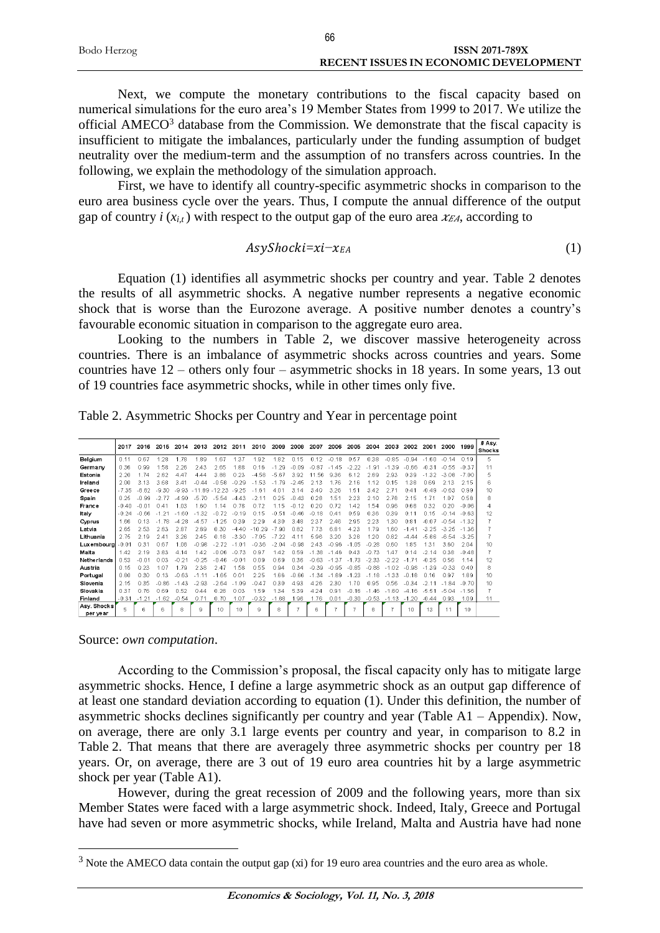|             | 66                                    |
|-------------|---------------------------------------|
| Bodo Herzog | ISSN 2071-789X                        |
|             | RECENT ISSUES IN ECONOMIC DEVELOPMENT |

Next, we compute the monetary contributions to the fiscal capacity based on numerical simulations for the euro area's 19 Member States from 1999 to 2017. We utilize the official AMECO<sup>3</sup> database from the Commission. We demonstrate that the fiscal capacity is insufficient to mitigate the imbalances, particularly under the funding assumption of budget neutrality over the medium-term and the assumption of no transfers across countries. In the following, we explain the methodology of the simulation approach.

First, we have to identify all country-specific asymmetric shocks in comparison to the euro area business cycle over the years. Thus, I compute the annual difference of the output gap of country  $i(x_{i,t})$  with respect to the output gap of the euro area  $x_{EA}$ , according to

$$
Asy Shocki = xi - x_{EA} \tag{1}
$$

Equation (1) identifies all asymmetric shocks per country and year. Table 2 denotes the results of all asymmetric shocks. A negative number represents a negative economic shock that is worse than the Eurozone average. A positive number denotes a country's favourable economic situation in comparison to the aggregate euro area.

Looking to the numbers in Table 2, we discover massive heterogeneity across countries. There is an imbalance of asymmetric shocks across countries and years. Some countries have 12 – others only four – asymmetric shocks in 18 years. In some years, 13 out of 19 countries face asymmetric shocks, while in other times only five.

Table 2. Asymmetric Shocks per Country and Year in percentage point

|                         | 2017    | 2016    | 2015        | 2014        | 2013         | 2012     | 2011    | 2010     | 2009    | 2008    | 2007        | 2006       | 2005         | 2004        | 2003    | 2002       | 2001      | 2000    | 1999            | # Asy.<br>Shocks |
|-------------------------|---------|---------|-------------|-------------|--------------|----------|---------|----------|---------|---------|-------------|------------|--------------|-------------|---------|------------|-----------|---------|-----------------|------------------|
| Belgium                 | 0.11    | 0.67    | 28          | 1 78        | 189          | 67       | 1.37    | 1.92     | 182     | 0.15    | 0.12        | $-0.18$    | 0.57         | 0.38        | $-0.85$ | $-0.94$    | $-160$    | $-0.14$ | 0.19            | 5                |
| Germany                 | 0.36    | 0.99    | .58         | 2.26        | 2.43         | 2.65     | 1.88    | 0.16     | $-1.29$ | $-0.09$ | $-0.87$     | 45<br>$-1$ | $-2.22$      | $-1.91$     | $-1.39$ | $-0.66$    | $-0.31$   | $-0.55$ | $-0.37$         | 11               |
| Estonia                 | 2.20    | 174     | 2.82        | 447         | 444          | 388      | 0.23    | $-4.58$  | $-5.67$ | 3.92    | 11.56       | 9.36       | 6.12         | 2.89        | 2.93    | 0.39       | $-1.32$   | $-3.08$ | $-700$          | 5                |
| Ireland                 | 2.00    | 3.13    | 3.68        | 341         | $-0.44$      | $-0.58$  | $-0.29$ | $-1.53$  | $-1.79$ | $-2.45$ | 2.13        | 176        | 2.16         | 1.12        | 0.15    | 1.38       | 0.69      | 2.13    | 2.15            | 6                |
| Greece                  | $-7.35$ | $-8.82$ | $-9.30$     | $-9.93$     | -89<br>$-11$ | $-12.23$ | $-9.25$ | $-1.61$  | 4.01    | 3.14    | 3.40        | 3.26       | 1.51         | 3.42        | 2.71    | 0.41       | $-0.49$   | $-0.63$ | 0.99            | 10               |
| Spain                   | 0.25    | $-0.99$ | -2 77       | $-490$      | $-570$       | $-5.54$  | $-443$  | -211     | 0.25    | $-0.43$ | 028         | 1.51       | 2.23         | 210         | 2 78    | 2.15       | 1 7 1     | 107     | 0.58            | 8                |
| France                  | $-0.40$ | $-0.01$ | 0.41        | 1.03        | 1.60         | 1 1 4    | 0.78    | 0.72     | 1.15    | $-0.12$ | 0.20        | 0.72       | 1.42         | 1.54        | 0.96    | 0.68       | 0.32      | 0.20    | $-0.06$         | $\overline{4}$   |
| Italy                   | $-0.24$ | -0.66   | .21         | -60         | $-1.32$      | $-0.72$  | $-0.19$ | 0.15     | $-0.51$ | $-0.46$ | $-0.18$     | 0.41       | 0.59         | 0.36        | 0.39    | 0.11       | 0.15      | $-0.14$ | $-0.63$         | 12               |
| Cyprus                  | 1.66    | 0.13    | -78<br>$-1$ | 28<br>$-4$  | $-4.57$      | $-1.25$  | 0.39    | 2.29     | 4.30    | 3.48    | 2.37        | 246        | 2.95         | 2.23        | 1.30    | 0.81       | $-0.07$   | $-0.54$ | $-1.32$         |                  |
| Latvia                  | 2.65    | 2.53    | 2.83        | 2.87        | 289          | 0.30     | $-440$  | $-10.29$ | $-790$  | 0.82    | 7.73        | 681        | 4.23         | 1.79        | 1.60    | $-1$<br>41 | $-3.25$   | $-3.25$ | $-1.36$         |                  |
| Lithuania               | 2.75    | 2.19    | 241         | 3.26        | 2.45         | 0.18     | $-3.30$ | $-7.05$  | $-7.22$ | 4.11    | 5.96        | 3.20       | 3.28         | 1.20        | 0.82    | -4 44      | -5<br>.86 | $-6.54$ | $-3.25$         |                  |
| Luxemboura              | 0.01    | 0.31    | 0.67        | 1.08        | $-0.98$      | $-272$   | $-101$  | $-0.36$  | $-2.04$ | $-0.98$ | 2.43        | $-0.96$    | l 05<br>$-1$ | $-0.28$     | 0.60    | 1.85       | 1.31      | 360     | 2.04            | 10               |
| Malta                   | 1.42    | 2.19    | 383         | 414         | 142          | $-0.06$  | $-0.73$ | 0.97     | 1.42    | 0.59    | $-1.38$     | $-1.46$    | 0.43         | $-0.73$     | 147     | 0.14       | -2 14     | 0.38    | $-0.48$         | 7                |
| Netherlands             | 0.53    | $-0.01$ | 0.03        | $-0.21$     | $-0.25$      | $-0.46$  | $-0.01$ | 0.09     | 0.69    | 0.36    | $-0.63$     | $-1.37$    | $-1.73$      | $-2.33$     | $-2.22$ | $-1$       | $-0.35$   | 0.56    | 1.14            | 12               |
| Austria                 | 0.15    | 0.23    | 1.07        | 1 7 9       | 238          | 247      | 1.58    | 0.55     | 0.94    | 0.34    | $-0$<br>39  | $-0.95$    | $-0.85$      | $-0.88$     | $-1.02$ | $-0.98$    | $-1.39$   | $-0.33$ | 040             | 8                |
| Portugal                | 0.80    | 0.30    | 0.13        | $-0.63$     | $-1$ 11      | $-1.65$  | 0.01    | 2.25     | 1.66    | $-0.66$ | -34<br>$-1$ | $-1.89$    | 23<br>$-1$   | -18<br>$-1$ | $-1.33$ | $-0.18$    | 0.16      | 097     | 1.89            | 10               |
| Slovenia                | 2.15    | 0.35    | $-0.86$     | -43<br>$-1$ | $-293$       | $-264$   | $-1.09$ | $-0.47$  | 0.30    | 4.93    | 4.26        | 2.30       | 170          | 0.95        | 0.56    | $-0.34$    | $-211$    | 84      | $-0.70$         | 10               |
| Slovakia                | 0.37    | 0.76    | 0.69        | 0.52        | 0.44         | 0.28     | 0.03    | 1.59     | 1.34    | 5.39    | 4.24        | 0.91       | $-0.16$      | -46<br>$-1$ | -80     | $-4.16$    | 51<br>-5  | $-5.04$ | $-1.56$         | 7                |
| Finland                 | $-0.31$ | $-1.21$ | $-1.62$     | $-0.54$     | 0.71         | 0.70     | 1.07    | $-0.32$  | $-1.68$ | 1.96    | 1.76        | 0.01       | $-0.30$      | $-0.53$     | $-1.13$ | $-1.20$    | $-0.44$   | 0.93    | 1.09            | 11               |
| Asv. Shocks<br>per vear | 5       | ĥ.      | 6           | 8           | 9            | 10       | 10      | 9        | 8       |         | 6           |            |              | 8           |         | 10         | 13        | 11      | 10 <sup>1</sup> |                  |

Source: *own computation*.

1

According to the Commission's proposal, the fiscal capacity only has to mitigate large asymmetric shocks. Hence, I define a large asymmetric shock as an output gap difference of at least one standard deviation according to equation (1). Under this definition, the number of asymmetric shocks declines significantly per country and year (Table A1 – Appendix). Now, on average, there are only 3.1 large events per country and year, in comparison to 8.2 in Table 2. That means that there are averagely three asymmetric shocks per country per 18 years. Or, on average, there are 3 out of 19 euro area countries hit by a large asymmetric shock per year (Table A1).

However, during the great recession of 2009 and the following years, more than six Member States were faced with a large asymmetric shock. Indeed, Italy, Greece and Portugal have had seven or more asymmetric shocks, while Ireland, Malta and Austria have had none

<sup>3</sup> Note the AMECO data contain the output gap (xi) for 19 euro area countries and the euro area as whole.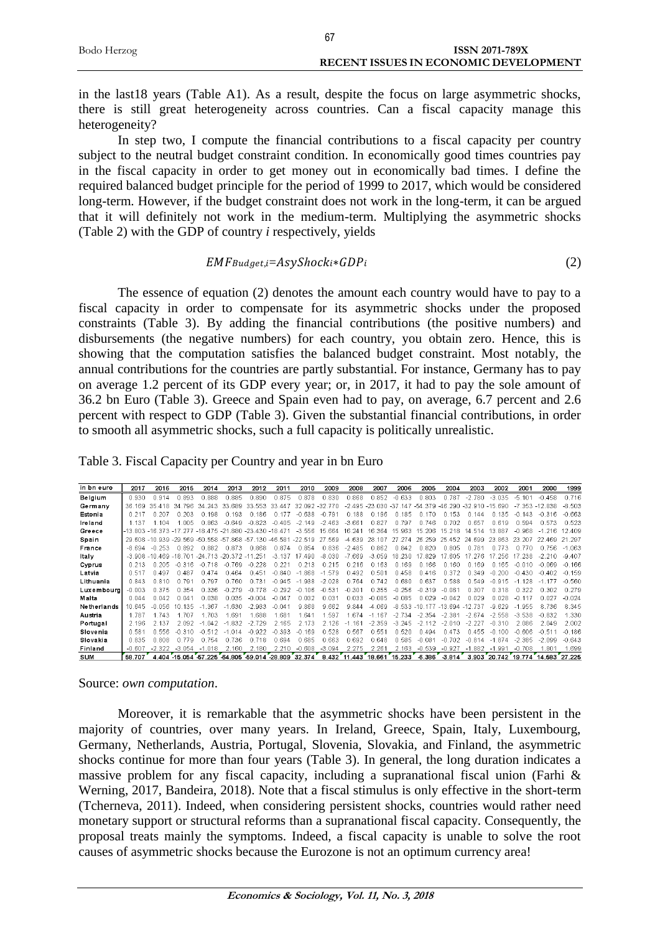|             | 67 |                                              |
|-------------|----|----------------------------------------------|
| Bodo Herzog |    | <b>ISSN 2071-789X</b>                        |
|             |    | <b>RECENT ISSUES IN ECONOMIC DEVELOPMENT</b> |

in the last18 years (Table A1). As a result, despite the focus on large asymmetric shocks, there is still great heterogeneity across countries. Can a fiscal capacity manage this heterogeneity?

In step two, I compute the financial contributions to a fiscal capacity per country subject to the neutral budget constraint condition. In economically good times countries pay in the fiscal capacity in order to get money out in economically bad times. I define the required balanced budget principle for the period of 1999 to 2017, which would be considered long-term. However, if the budget constraint does not work in the long-term, it can be argued that it will definitely not work in the medium-term. Multiplying the asymmetric shocks (Table 2) with the GDP of country *i* respectively, yields

$$
EMFBudget, i=AsyShocki*GDPi
$$
 (2)

The essence of equation (2) denotes the amount each country would have to pay to a fiscal capacity in order to compensate for its asymmetric shocks under the proposed constraints (Table 3). By adding the financial contributions (the positive numbers) and disbursements (the negative numbers) for each country, you obtain zero. Hence, this is showing that the computation satisfies the balanced budget constraint. Most notably, the annual contributions for the countries are partly substantial. For instance, Germany has to pay on average 1.2 percent of its GDP every year; or, in 2017, it had to pay the sole amount of 36.2 bn Euro (Table 3). Greece and Spain even had to pay, on average, 6.7 percent and 2.6 percent with respect to GDP (Table 3). Given the substantial financial contributions, in order to smooth all asymmetric shocks, such a full capacity is politically unrealistic.

| Table 3. Fiscal Capacity per Country and year in bn Euro |
|----------------------------------------------------------|
|                                                          |

| in bn euro  | 2017     | 2016                    | 2015             | 2014              | 2013                 | 2012               | 2011          | 2010         | 2009         | 2008         | 2007              | 2006            | 2005         | 2004           | 2003          | 2002         | 2001     | 2000      | 1999     |
|-------------|----------|-------------------------|------------------|-------------------|----------------------|--------------------|---------------|--------------|--------------|--------------|-------------------|-----------------|--------------|----------------|---------------|--------------|----------|-----------|----------|
| Belgium     | 0.930    | 0.914                   | 0.893            | .888              | 0885                 | 0.890              | 0.875         | 0.878        | 0.830        | 0.868        | 0.852             | $-0.633$        | 0.803        | .787           | $-2.780$      | $-3.035$     | $-5.10'$ | $-0.458$  | 0.716    |
| Germany     | 36.169   | 35<br>418               | 34               | 243<br>34         | 33<br>689            | 553<br>વવ          | 33<br>447     | 32.092       | -32<br>77 C  |              | $-2.495 - 23.030$ | -37<br>147      | -54<br>.379  | 290<br>$-46$   | $-32910 - 15$ | 690          | 353      | 838       | $-8.503$ |
| Estonia     | 0.217    | 0.207                   | 0.203            | 198               | 0 193                | 0 186              | 0.177         | -0.638       | $-0$<br>-791 | 0.188        | 0.196             | 0<br>185        | 170<br>n     | 0 153          | 0 144         | .135<br>0    | $-0.143$ | -0<br>316 | $-0.663$ |
| Ireland     | 1.137    | 104                     | 005              | 0.863             | $-0.649$             | $-0.823$           | $-0.405$      | $-2.149$     | $-2.463$     | $-3.661$     | 0.827             | 0.797           | 0 746        | 0.702          | 0.657         | 0.619        | 0.594    | 0.573     | 0.523    |
| Greece      |          | $-13.803 - 16.373 - 17$ |                  | 475 - 21<br>$-18$ | 880                  | $-23.430 - 18.471$ |               | $-3.556$     | 15.664       | 16.241       | 16.364            | 15.963          | 206<br>15.   | 15.218         | 14<br>514     | 13.887       | $-0.968$ | 216       | 12.409   |
| Spain       |          | 29 608 -10 939          | -29<br>569 -50   | 558               | 868<br>-57           | -130<br>$-57$      | $-46$<br>-581 | $-22.519$    | 27<br>569    | -4 639       | 28.<br>107        | 27<br>274       | 259<br>26    | 25 452         | 24<br>699     | 23.863       | 23.207   | 469       | 21 297   |
| France      | $-8694$  | $-0.253$                | 0.892            | 0.882             | 0.873                | 0.868              | 0.874         | 0.854        | 0.836        | $-2.485$     | 0.862             | 0.842           | 0.820        | 0.805          | 0.781         | 0.773        | 0.770    | 0.756     | $-1.063$ |
| Italy       |          | $-3.908 - 10.469$       | $-18701$         | 713<br>$-24$      | $-20.372 - 11$       | 251                | $-3.137$      | .490         | $-8030$      | $-7.669$     | $-3.059$          | 18.230          | -829         | 605            | 276           | 17 256       | 238      | -210      | $-9.407$ |
| Cyprus      | 0.213    | 0.205                   | 316<br>$-\Omega$ | 18                | 769<br>-0            | -228<br>$-0$       | 0.221         | 0.213        | 0.215        | 0.216        | 0.163             | 169<br>$\Omega$ | 166          | 0.160          | 0.169         | 165<br>0     | -0.010   | $-0.069$  | $-0.166$ |
| Latvia      | 0.517    | በ 497                   | 0487             | A7A               | 0464                 | n 451              | $-0.840$      | -868         | 579<br>$-1$  | 0492         | 0.501             | 0458            | 0416         | 0.372          | 0.349         | 200<br>-0    | $-0.430$ | $-0.402$  | $-0.159$ |
| Lithuania   | 0.843    | 0.810                   | 0.791            | .797              | 0.760                | 0.731              | $-0.945$      | .938<br>$-1$ | $-2.028$     | 0.764        | 0.742             | 0.680           | 0.637        | 0.588          | 0.549         | $-0.915$     | $-1.128$ |           | $-0.560$ |
| Luxembourg  | $-0.003$ | 0.375                   | 0.354            | 0.336             | $-0.279$             | $-0.778$           | $-0.292$      | 106<br>$-0$  | $-0.531$     | $-0.301$     | 0.355             | $-0$<br>256     | $-0.319$     | $-0.081$       | 0.307         | 0.318        | 0.322    | 0.302     | 0.279    |
| Malta       | 0.044    | 0.042                   | $n$ $n4$         | 038               | 0.035                | $-0.004$           | $-0.047$      | 0.032        | 0.03'        | 0.033        | $-0.085$          | $-0.085$        | 0.029        | $-0.042$       | 0.029         | 0.028        |          | 0.027     | $-0.024$ |
| Netherlands | 10 645   | $-0.056$                | 135              | 36                | 630                  | $-2983$            | $-0.041$      | 9.868        | 9.662        | 9.844        | $-4.069$          | -8<br>533       |              | $-13694$       | $-12.737$     | 629<br>-9    | 955      | 8.736     | 8.345    |
| Austria     | 1.787    | 743                     | -707             | .703              | 69 <sup>-</sup>      | .688               | .681          | 1.641        | .597         | .674         | .167              | $-2.734$        | $-2.354$     | $-2.381$       | $-2.674$      | $-2.558$     | $-3.538$ | $-0.832$  | 1.330    |
| Portugal    | 2.196    | 2.137                   | 2.092            | 042               | 832<br>$-1$          | $-2.729$           | 2.165         | 2.173        | 2.126        | .161<br>$-1$ | $-2.359$          | $-3.245$        | $-2$<br>12   | $-2$<br>' N1 N | $-2.227$      | $-0.310$     | 2.086    | 2.049     | 2.002    |
| Slovenia    | 0.581    | በ 556                   | 310              |                   | 014                  | -922               | $-0.393$      | 169          | 0.528        | 0.567        | 0.551             | .520<br>Ω.      | 0494         | 0473           | n 455         | 100          | $-0.606$ | $-0.51$   | $-0.186$ |
| Slovakia    | 0.835    | 0.808                   | 0.779            | 754               | 0.736                | 0 718              | 0.694         | 0.685        | 0.663        | 0.692        | 0.648             | 0.585           | - 081<br>-0  | $-0.702$       | $-0.814$      | .874         | $-2.385$ | $-2.099$  | $-0.643$ |
| Finland     | $-0.607$ | .322                    | $-3.054$         | .018<br>$-$       | 2 160                | 2.180              | 2.210         | $-0.608$     | $-3.094$     | 2.275        | 2.261             | 2.163           | .539<br>$-0$ | $-0.927$       | .882<br>$-1$  | .991<br>-1   | $-0.708$ | .80       | .699     |
| <b>SUM</b>  | 53.707   | 4.404                   | $-15.054$ 57.225 |                   | 64.805 59.014 28.809 |                    |               | 32.374       | 8.432        | 11.443       | 18.661            | 15.233          | 6.386        | 3.814          |               | 3.903 20.742 | 19.774   | 14.583    | 27.225   |

Source: *own computation*.

Moreover, it is remarkable that the asymmetric shocks have been persistent in the majority of countries, over many years. In Ireland, Greece, Spain, Italy, Luxembourg, Germany, Netherlands, Austria, Portugal, Slovenia, Slovakia, and Finland, the asymmetric shocks continue for more than four years (Table 3). In general, the long duration indicates a massive problem for any fiscal capacity, including a supranational fiscal union (Farhi & Werning, 2017, Bandeira, 2018). Note that a fiscal stimulus is only effective in the short-term (Tcherneva, 2011). Indeed, when considering persistent shocks, countries would rather need monetary support or structural reforms than a supranational fiscal capacity. Consequently, the proposal treats mainly the symptoms. Indeed, a fiscal capacity is unable to solve the root causes of asymmetric shocks because the Eurozone is not an optimum currency area!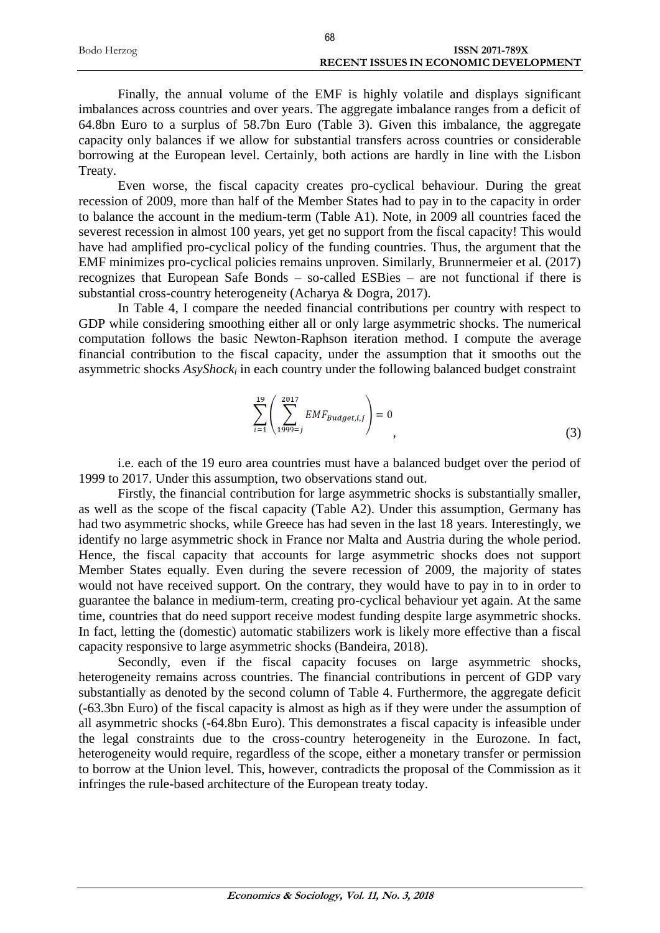|             | 68                                           |
|-------------|----------------------------------------------|
| Bodo Herzog | ISSN 2071-789X                               |
|             | <b>RECENT ISSUES IN ECONOMIC DEVELOPMENT</b> |

Finally, the annual volume of the EMF is highly volatile and displays significant imbalances across countries and over years. The aggregate imbalance ranges from a deficit of 64.8bn Euro to a surplus of 58.7bn Euro (Table 3). Given this imbalance, the aggregate capacity only balances if we allow for substantial transfers across countries or considerable borrowing at the European level. Certainly, both actions are hardly in line with the Lisbon Treaty.

Even worse, the fiscal capacity creates pro-cyclical behaviour. During the great recession of 2009, more than half of the Member States had to pay in to the capacity in order to balance the account in the medium-term (Table A1). Note, in 2009 all countries faced the severest recession in almost 100 years, yet get no support from the fiscal capacity! This would have had amplified pro-cyclical policy of the funding countries. Thus, the argument that the EMF minimizes pro-cyclical policies remains unproven. Similarly, Brunnermeier et al. (2017) recognizes that European Safe Bonds – so-called ESBies – are not functional if there is substantial cross-country heterogeneity (Acharya & Dogra, 2017).

In Table 4, I compare the needed financial contributions per country with respect to GDP while considering smoothing either all or only large asymmetric shocks. The numerical computation follows the basic Newton-Raphson iteration method. I compute the average financial contribution to the fiscal capacity, under the assumption that it smooths out the asymmetric shocks *AsyShock<sup>i</sup>* in each country under the following balanced budget constraint

$$
\sum_{i=1}^{19} \left( \sum_{1999=j}^{2017} EMF_{Budget,i,j} \right) = 0
$$
\n(3)

i.e. each of the 19 euro area countries must have a balanced budget over the period of 1999 to 2017. Under this assumption, two observations stand out.

Firstly, the financial contribution for large asymmetric shocks is substantially smaller, as well as the scope of the fiscal capacity (Table A2). Under this assumption, Germany has had two asymmetric shocks, while Greece has had seven in the last 18 years. Interestingly, we identify no large asymmetric shock in France nor Malta and Austria during the whole period. Hence, the fiscal capacity that accounts for large asymmetric shocks does not support Member States equally. Even during the severe recession of 2009, the majority of states would not have received support. On the contrary, they would have to pay in to in order to guarantee the balance in medium-term, creating pro-cyclical behaviour yet again. At the same time, countries that do need support receive modest funding despite large asymmetric shocks. In fact, letting the (domestic) automatic stabilizers work is likely more effective than a fiscal capacity responsive to large asymmetric shocks (Bandeira, 2018).

Secondly, even if the fiscal capacity focuses on large asymmetric shocks, heterogeneity remains across countries. The financial contributions in percent of GDP vary substantially as denoted by the second column of Table 4. Furthermore, the aggregate deficit (-63.3bn Euro) of the fiscal capacity is almost as high as if they were under the assumption of all asymmetric shocks (-64.8bn Euro). This demonstrates a fiscal capacity is infeasible under the legal constraints due to the cross-country heterogeneity in the Eurozone. In fact, heterogeneity would require, regardless of the scope, either a monetary transfer or permission to borrow at the Union level. This, however, contradicts the proposal of the Commission as it infringes the rule-based architecture of the European treaty today.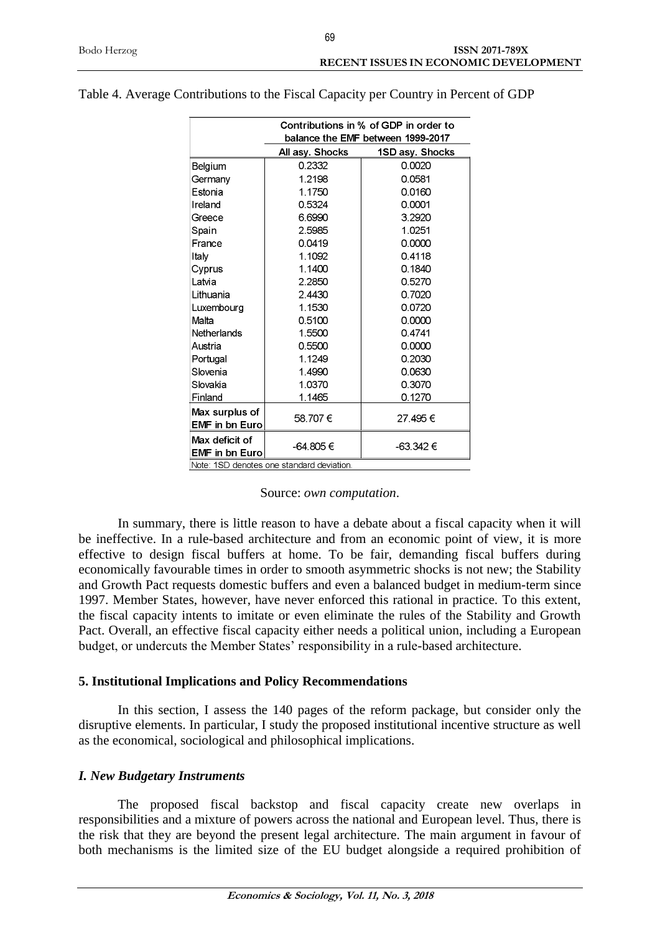| Contributions in % of GDP in order to   |                                          |                                   |  |  |  |  |  |  |  |  |  |
|-----------------------------------------|------------------------------------------|-----------------------------------|--|--|--|--|--|--|--|--|--|
|                                         |                                          | balance the EMF between 1999-2017 |  |  |  |  |  |  |  |  |  |
|                                         | All asy. Shocks                          | 1SD asy. Shocks                   |  |  |  |  |  |  |  |  |  |
| Belgium                                 | 0.2332                                   | 0.0020                            |  |  |  |  |  |  |  |  |  |
| Germany                                 | 1.2198                                   | 0.0581                            |  |  |  |  |  |  |  |  |  |
| Estonia                                 | 1.1750                                   | 0.0160                            |  |  |  |  |  |  |  |  |  |
| Ireland                                 | 0.5324                                   | 0.0001                            |  |  |  |  |  |  |  |  |  |
| Greece                                  | 6.6990                                   | 3.2920                            |  |  |  |  |  |  |  |  |  |
| Spain                                   | 2.5985                                   | 1.0251                            |  |  |  |  |  |  |  |  |  |
| France                                  | 0.0419                                   | 0.0000                            |  |  |  |  |  |  |  |  |  |
| Italy                                   | 1.1092                                   | 0.4118                            |  |  |  |  |  |  |  |  |  |
| Cyprus                                  | 1.1400                                   | 0.1840                            |  |  |  |  |  |  |  |  |  |
| Latvia                                  | 2.2850                                   | 0.5270                            |  |  |  |  |  |  |  |  |  |
| Lithuania                               | 2.4430                                   | 0.7020                            |  |  |  |  |  |  |  |  |  |
| Luxembourg                              | 1.1530                                   | 0.0720                            |  |  |  |  |  |  |  |  |  |
| Malta                                   | 0.5100                                   | 0.0000                            |  |  |  |  |  |  |  |  |  |
| Netherlands                             | 1.5500                                   | 0.4741                            |  |  |  |  |  |  |  |  |  |
| Austria                                 | 0.5500                                   | 0.0000                            |  |  |  |  |  |  |  |  |  |
| Portugal                                | 1.1249                                   | 0.2030                            |  |  |  |  |  |  |  |  |  |
| Slovenia                                | 1.4990                                   | 0.0630                            |  |  |  |  |  |  |  |  |  |
| Slovakia                                | 1.0370                                   | 0.3070                            |  |  |  |  |  |  |  |  |  |
| Finland                                 | 1.1465                                   | 0.1270                            |  |  |  |  |  |  |  |  |  |
| Max surplus of<br><b>EMF</b> in bn Euro | 58.707€                                  | 27.495€                           |  |  |  |  |  |  |  |  |  |
| Max deficit of<br><b>EMF</b> in bn Euro | -64.805 €                                | -63.342 €                         |  |  |  |  |  |  |  |  |  |
|                                         | Note: 1SD denotes one standard deviation |                                   |  |  |  |  |  |  |  |  |  |

Table 4. Average Contributions to the Fiscal Capacity per Country in Percent of GDP

Source: *own computation*.

In summary, there is little reason to have a debate about a fiscal capacity when it will be ineffective. In a rule-based architecture and from an economic point of view, it is more effective to design fiscal buffers at home. To be fair, demanding fiscal buffers during economically favourable times in order to smooth asymmetric shocks is not new; the Stability and Growth Pact requests domestic buffers and even a balanced budget in medium-term since 1997. Member States, however, have never enforced this rational in practice. To this extent, the fiscal capacity intents to imitate or even eliminate the rules of the Stability and Growth Pact. Overall, an effective fiscal capacity either needs a political union, including a European budget, or undercuts the Member States' responsibility in a rule-based architecture.

#### **5. Institutional Implications and Policy Recommendations**

In this section, I assess the 140 pages of the reform package, but consider only the disruptive elements. In particular, I study the proposed institutional incentive structure as well as the economical, sociological and philosophical implications.

#### *I. New Budgetary Instruments*

The proposed fiscal backstop and fiscal capacity create new overlaps in responsibilities and a mixture of powers across the national and European level. Thus, there is the risk that they are beyond the present legal architecture. The main argument in favour of both mechanisms is the limited size of the EU budget alongside a required prohibition of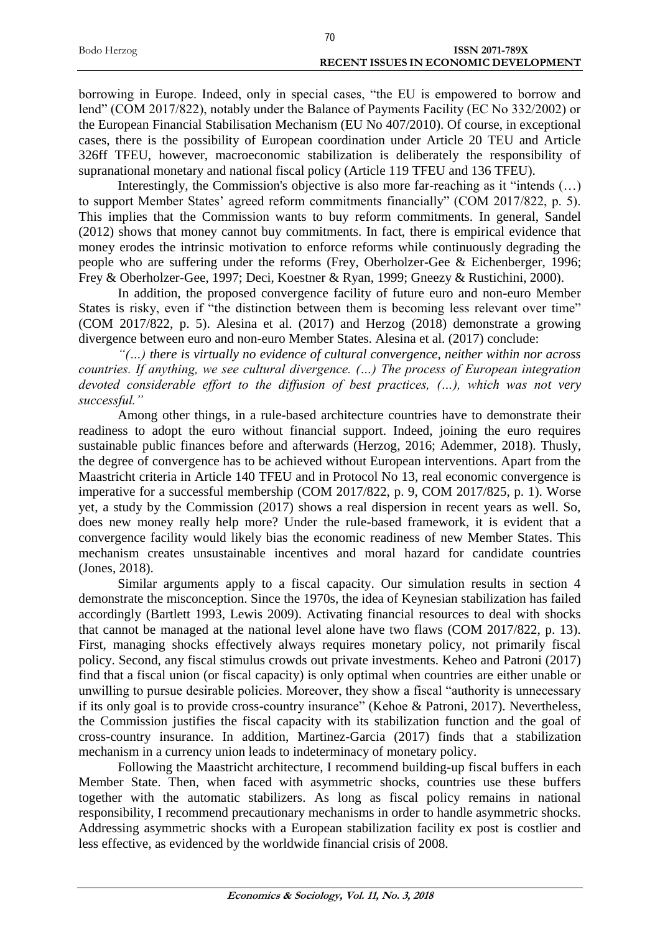|             | 70 |                                       |
|-------------|----|---------------------------------------|
| Bodo Herzog |    | ISSN 2071-789X                        |
|             |    | RECENT ISSUES IN ECONOMIC DEVELOPMENT |

borrowing in Europe. Indeed, only in special cases, "the EU is empowered to borrow and lend" (COM 2017/822), notably under the Balance of Payments Facility (EC No 332/2002) or the European Financial Stabilisation Mechanism (EU No 407/2010). Of course, in exceptional cases, there is the possibility of European coordination under Article 20 TEU and Article 326ff TFEU, however, macroeconomic stabilization is deliberately the responsibility of supranational monetary and national fiscal policy (Article 119 TFEU and 136 TFEU).

Interestingly, the Commission's objective is also more far-reaching as it "intends (...) to support Member States' agreed reform commitments financially" (COM 2017/822, p. 5). This implies that the Commission wants to buy reform commitments. In general, Sandel (2012) shows that money cannot buy commitments. In fact, there is empirical evidence that money erodes the intrinsic motivation to enforce reforms while continuously degrading the people who are suffering under the reforms (Frey, Oberholzer-Gee & Eichenberger, 1996; Frey & Oberholzer-Gee, 1997; Deci, Koestner & Ryan, 1999; Gneezy & Rustichini, 2000).

In addition, the proposed convergence facility of future euro and non-euro Member States is risky, even if "the distinction between them is becoming less relevant over time" (COM 2017/822, p. 5). Alesina et al. (2017) and Herzog (2018) demonstrate a growing divergence between euro and non-euro Member States. Alesina et al. (2017) conclude:

*"(…) there is virtually no evidence of cultural convergence, neither within nor across countries. If anything, we see cultural divergence. (…) The process of European integration devoted considerable effort to the diffusion of best practices, (…), which was not very successful."*

Among other things, in a rule-based architecture countries have to demonstrate their readiness to adopt the euro without financial support. Indeed, joining the euro requires sustainable public finances before and afterwards (Herzog, 2016; Ademmer, 2018). Thusly, the degree of convergence has to be achieved without European interventions. Apart from the Maastricht criteria in Article 140 TFEU and in Protocol No 13, real economic convergence is imperative for a successful membership (COM 2017/822, p. 9, COM 2017/825, p. 1). Worse yet, a study by the Commission (2017) shows a real dispersion in recent years as well. So, does new money really help more? Under the rule-based framework, it is evident that a convergence facility would likely bias the economic readiness of new Member States. This mechanism creates unsustainable incentives and moral hazard for candidate countries (Jones, 2018).

Similar arguments apply to a fiscal capacity. Our simulation results in section 4 demonstrate the misconception. Since the 1970s, the idea of Keynesian stabilization has failed accordingly (Bartlett 1993, Lewis 2009). Activating financial resources to deal with shocks that cannot be managed at the national level alone have two flaws (COM 2017/822, p. 13). First, managing shocks effectively always requires monetary policy, not primarily fiscal policy. Second, any fiscal stimulus crowds out private investments. Keheo and Patroni (2017) find that a fiscal union (or fiscal capacity) is only optimal when countries are either unable or unwilling to pursue desirable policies. Moreover, they show a fiscal "authority is unnecessary if its only goal is to provide cross-country insurance" (Kehoe & Patroni, 2017). Nevertheless, the Commission justifies the fiscal capacity with its stabilization function and the goal of cross-country insurance. In addition, Martinez-Garcia (2017) finds that a stabilization mechanism in a currency union leads to indeterminacy of monetary policy.

Following the Maastricht architecture, I recommend building-up fiscal buffers in each Member State. Then, when faced with asymmetric shocks, countries use these buffers together with the automatic stabilizers. As long as fiscal policy remains in national responsibility, I recommend precautionary mechanisms in order to handle asymmetric shocks. Addressing asymmetric shocks with a European stabilization facility ex post is costlier and less effective, as evidenced by the worldwide financial crisis of 2008.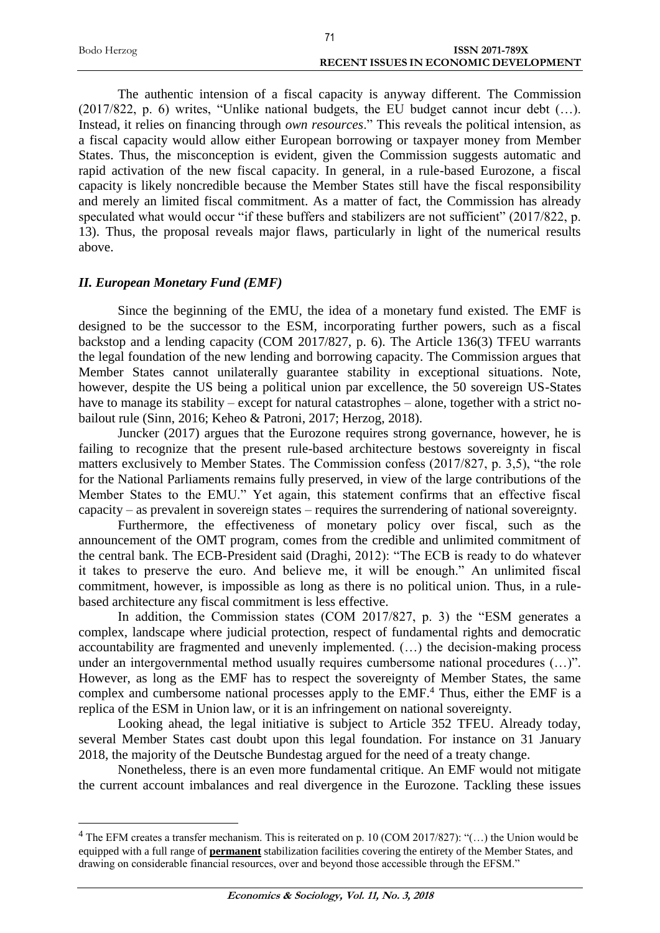| Bodo Herzog | <b>ISSN 2071-789X</b>                 |
|-------------|---------------------------------------|
|             | RECENT ISSUES IN ECONOMIC DEVELOPMENT |

The authentic intension of a fiscal capacity is anyway different. The Commission (2017/822, p. 6) writes, "Unlike national budgets, the EU budget cannot incur debt (…). Instead, it relies on financing through *own resources*." This reveals the political intension, as a fiscal capacity would allow either European borrowing or taxpayer money from Member States. Thus, the misconception is evident, given the Commission suggests automatic and rapid activation of the new fiscal capacity. In general, in a rule-based Eurozone, a fiscal capacity is likely noncredible because the Member States still have the fiscal responsibility and merely an limited fiscal commitment. As a matter of fact, the Commission has already speculated what would occur "if these buffers and stabilizers are not sufficient" (2017/822, p. 13). Thus, the proposal reveals major flaws, particularly in light of the numerical results above.

#### *II. European Monetary Fund (EMF)*

1

Since the beginning of the EMU, the idea of a monetary fund existed. The EMF is designed to be the successor to the ESM, incorporating further powers, such as a fiscal backstop and a lending capacity (COM 2017/827, p. 6). The Article 136(3) TFEU warrants the legal foundation of the new lending and borrowing capacity. The Commission argues that Member States cannot unilaterally guarantee stability in exceptional situations. Note, however, despite the US being a political union par excellence, the 50 sovereign US-States have to manage its stability – except for natural catastrophes – alone, together with a strict nobailout rule (Sinn, 2016; Keheo & Patroni, 2017; Herzog, 2018).

Juncker (2017) argues that the Eurozone requires strong governance, however, he is failing to recognize that the present rule-based architecture bestows sovereignty in fiscal matters exclusively to Member States. The Commission confess (2017/827, p. 3,5), "the role for the National Parliaments remains fully preserved, in view of the large contributions of the Member States to the EMU." Yet again, this statement confirms that an effective fiscal capacity – as prevalent in sovereign states – requires the surrendering of national sovereignty.

Furthermore, the effectiveness of monetary policy over fiscal, such as the announcement of the OMT program, comes from the credible and unlimited commitment of the central bank. The ECB-President said (Draghi, 2012): "The ECB is ready to do whatever it takes to preserve the euro. And believe me, it will be enough." An unlimited fiscal commitment, however, is impossible as long as there is no political union. Thus, in a rulebased architecture any fiscal commitment is less effective.

In addition, the Commission states (COM 2017/827, p. 3) the "ESM generates a complex, landscape where judicial protection, respect of fundamental rights and democratic accountability are fragmented and unevenly implemented. (…) the decision-making process under an intergovernmental method usually requires cumbersome national procedures (…)". However, as long as the EMF has to respect the sovereignty of Member States, the same complex and cumbersome national processes apply to the EMF.<sup>4</sup> Thus, either the EMF is a replica of the ESM in Union law, or it is an infringement on national sovereignty.

Looking ahead, the legal initiative is subject to Article 352 TFEU. Already today, several Member States cast doubt upon this legal foundation. For instance on 31 January 2018, the majority of the Deutsche Bundestag argued for the need of a treaty change.

Nonetheless, there is an even more fundamental critique. An EMF would not mitigate the current account imbalances and real divergence in the Eurozone. Tackling these issues

<sup>&</sup>lt;sup>4</sup> The EFM creates a transfer mechanism. This is reiterated on p. 10 (COM 2017/827): "(...) the Union would be equipped with a full range of **permanent** stabilization facilities covering the entirety of the Member States, and drawing on considerable financial resources, over and beyond those accessible through the EFSM."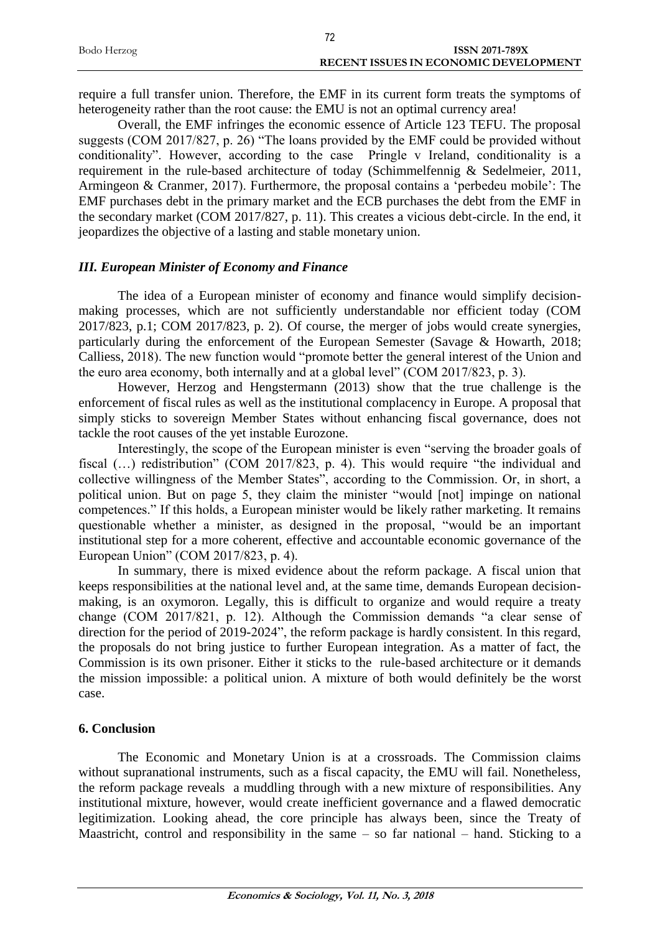|             | 70                                    |
|-------------|---------------------------------------|
| Bodo Herzog | <b>ISSN 2071-789X</b>                 |
|             | RECENT ISSUES IN ECONOMIC DEVELOPMENT |

require a full transfer union. Therefore, the EMF in its current form treats the symptoms of heterogeneity rather than the root cause: the EMU is not an optimal currency area!

Overall, the EMF infringes the economic essence of Article 123 TEFU. The proposal suggests (COM 2017/827, p. 26) "The loans provided by the EMF could be provided without conditionality". However, according to the case Pringle v Ireland, conditionality is a requirement in the rule-based architecture of today (Schimmelfennig & Sedelmeier, 2011, Armingeon & Cranmer, 2017). Furthermore, the proposal contains a 'perbedeu mobile': The EMF purchases debt in the primary market and the ECB purchases the debt from the EMF in the secondary market (COM 2017/827, p. 11). This creates a vicious debt-circle. In the end, it jeopardizes the objective of a lasting and stable monetary union.

#### *III. European Minister of Economy and Finance*

The idea of a European minister of economy and finance would simplify decisionmaking processes, which are not sufficiently understandable nor efficient today (COM 2017/823, p.1; COM 2017/823, p. 2). Of course, the merger of jobs would create synergies, particularly during the enforcement of the European Semester (Savage & Howarth, 2018; Calliess, 2018). The new function would "promote better the general interest of the Union and the euro area economy, both internally and at a global level" (COM 2017/823, p. 3).

However, Herzog and Hengstermann (2013) show that the true challenge is the enforcement of fiscal rules as well as the institutional complacency in Europe. A proposal that simply sticks to sovereign Member States without enhancing fiscal governance, does not tackle the root causes of the yet instable Eurozone.

Interestingly, the scope of the European minister is even "serving the broader goals of fiscal (...) redistribution" (COM 2017/823, p. 4). This would require "the individual and collective willingness of the Member States", according to the Commission. Or, in short, a political union. But on page 5, they claim the minister "would [not] impinge on national competences." If this holds, a European minister would be likely rather marketing. It remains questionable whether a minister, as designed in the proposal, "would be an important institutional step for a more coherent, effective and accountable economic governance of the European Union" (COM 2017/823, p. 4).

In summary, there is mixed evidence about the reform package. A fiscal union that keeps responsibilities at the national level and, at the same time, demands European decisionmaking, is an oxymoron. Legally, this is difficult to organize and would require a treaty change (COM 2017/821, p. 12). Although the Commission demands "a clear sense of direction for the period of 2019-2024", the reform package is hardly consistent. In this regard, the proposals do not bring justice to further European integration. As a matter of fact, the Commission is its own prisoner. Either it sticks to the rule-based architecture or it demands the mission impossible: a political union. A mixture of both would definitely be the worst case.

#### **6. Conclusion**

The Economic and Monetary Union is at a crossroads. The Commission claims without supranational instruments, such as a fiscal capacity, the EMU will fail. Nonetheless, the reform package reveals a muddling through with a new mixture of responsibilities. Any institutional mixture, however, would create inefficient governance and a flawed democratic legitimization. Looking ahead, the core principle has always been, since the Treaty of Maastricht, control and responsibility in the same – so far national – hand. Sticking to a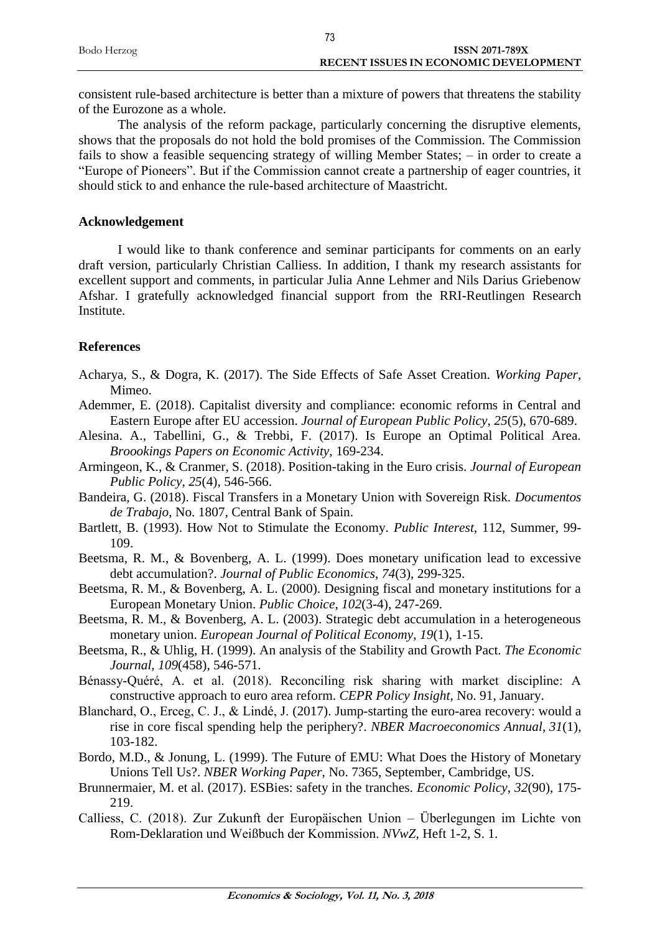| Bodo Herzog | <b>ISSN 2071-789X</b>                        |
|-------------|----------------------------------------------|
|             | <b>RECENT ISSUES IN ECONOMIC DEVELOPMENT</b> |

consistent rule-based architecture is better than a mixture of powers that threatens the stability of the Eurozone as a whole.

The analysis of the reform package, particularly concerning the disruptive elements, shows that the proposals do not hold the bold promises of the Commission. The Commission fails to show a feasible sequencing strategy of willing Member States; – in order to create a "Europe of Pioneers". But if the Commission cannot create a partnership of eager countries, it should stick to and enhance the rule-based architecture of Maastricht.

#### **Acknowledgement**

I would like to thank conference and seminar participants for comments on an early draft version, particularly Christian Calliess. In addition, I thank my research assistants for excellent support and comments, in particular Julia Anne Lehmer and Nils Darius Griebenow Afshar. I gratefully acknowledged financial support from the RRI-Reutlingen Research Institute.

#### **References**

- Acharya, S., & Dogra, K. (2017). The Side Effects of Safe Asset Creation. *Working Paper*, Mimeo.
- Ademmer, E. (2018). Capitalist diversity and compliance: economic reforms in Central and Eastern Europe after EU accession. *Journal of European Public Policy*, *25*(5), 670-689.
- Alesina. A., Tabellini, G., & Trebbi, F. (2017). Is Europe an Optimal Political Area. *Broookings Papers on Economic Activity*, 169-234.
- Armingeon, K., & Cranmer, S. (2018). Position-taking in the Euro crisis. *Journal of European Public Policy*, *25*(4), 546-566.
- Bandeira, G. (2018). Fiscal Transfers in a Monetary Union with Sovereign Risk. *Documentos de Trabajo*, No. 1807, Central Bank of Spain.
- Bartlett, B. (1993). How Not to Stimulate the Economy. *Public Interest*, 112, Summer, 99- 109.
- Beetsma, R. M., & Bovenberg, A. L. (1999). Does monetary unification lead to excessive debt accumulation?. *Journal of Public Economics*, *74*(3), 299-325.
- Beetsma, R. M., & Bovenberg, A. L. (2000). Designing fiscal and monetary institutions for a European Monetary Union. *Public Choice*, *102*(3-4), 247-269.
- Beetsma, R. M., & Bovenberg, A. L. (2003). Strategic debt accumulation in a heterogeneous monetary union. *European Journal of Political Economy*, *19*(1), 1-15.
- Beetsma, R., & Uhlig, H. (1999). An analysis of the Stability and Growth Pact. *The Economic Journal*, *109*(458), 546-571.
- Bénassy-Quéré, A. et al. (2018). Reconciling risk sharing with market discipline: A constructive approach to euro area reform. *CEPR Policy Insight*, No. 91, January.
- Blanchard, O., Erceg, C. J., & Lindé, J. (2017). Jump-starting the euro-area recovery: would a rise in core fiscal spending help the periphery?. *NBER Macroeconomics Annual*, *31*(1), 103-182.
- Bordo, M.D., & Jonung, L. (1999). The Future of EMU: What Does the History of Monetary Unions Tell Us?. *NBER Working Paper*, No. 7365, September, Cambridge, US.
- Brunnermaier, M. et al. (2017). ESBies: safety in the tranches. *Economic Policy*, *32*(90), 175- 219.
- Calliess, C. (2018). Zur Zukunft der Europäischen Union Überlegungen im Lichte von Rom-Deklaration und Weißbuch der Kommission. *NVwZ*, Heft 1-2, S. 1.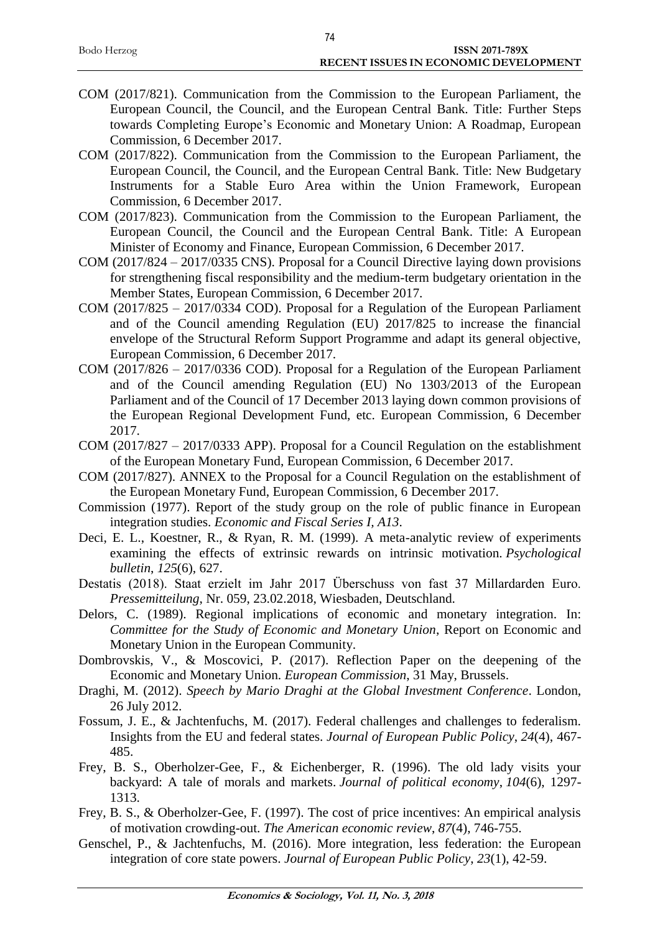| Bodo Herzog | ISSN 2071-789X                               |
|-------------|----------------------------------------------|
|             | <b>RECENT ISSUES IN ECONOMIC DEVELOPMENT</b> |
|             |                                              |

74

- COM (2017/821). Communication from the Commission to the European Parliament, the European Council, the Council, and the European Central Bank. Title: Further Steps towards Completing Europe's Economic and Monetary Union: A Roadmap, European Commission, 6 December 2017.
- COM (2017/822). Communication from the Commission to the European Parliament, the European Council, the Council, and the European Central Bank. Title: New Budgetary Instruments for a Stable Euro Area within the Union Framework, European Commission, 6 December 2017.
- COM (2017/823). Communication from the Commission to the European Parliament, the European Council, the Council and the European Central Bank. Title: A European Minister of Economy and Finance, European Commission, 6 December 2017.
- COM (2017/824 2017/0335 CNS). Proposal for a Council Directive laying down provisions for strengthening fiscal responsibility and the medium-term budgetary orientation in the Member States, European Commission, 6 December 2017.
- COM (2017/825 2017/0334 COD). Proposal for a Regulation of the European Parliament and of the Council amending Regulation (EU) 2017/825 to increase the financial envelope of the Structural Reform Support Programme and adapt its general objective, European Commission, 6 December 2017.
- COM (2017/826 2017/0336 COD). Proposal for a Regulation of the European Parliament and of the Council amending Regulation (EU) No 1303/2013 of the European Parliament and of the Council of 17 December 2013 laying down common provisions of the European Regional Development Fund, etc. European Commission, 6 December 2017.
- COM (2017/827 2017/0333 APP). Proposal for a Council Regulation on the establishment of the European Monetary Fund, European Commission, 6 December 2017.
- COM (2017/827). ANNEX to the Proposal for a Council Regulation on the establishment of the European Monetary Fund, European Commission, 6 December 2017.
- Commission (1977). Report of the study group on the role of public finance in European integration studies. *Economic and Fiscal Series I, A13*.
- Deci, E. L., Koestner, R., & Ryan, R. M. (1999). A meta-analytic review of experiments examining the effects of extrinsic rewards on intrinsic motivation. *Psychological bulletin*, *125*(6), 627.
- Destatis (2018). Staat erzielt im Jahr 2017 Überschuss von fast 37 Millardarden Euro. *Pressemitteilung*, Nr. 059, 23.02.2018, Wiesbaden, Deutschland.
- Delors, C. (1989). Regional implications of economic and monetary integration. In: *Committee for the Study of Economic and Monetary Union*, Report on Economic and Monetary Union in the European Community.
- Dombrovskis, V., & Moscovici, P. (2017). Reflection Paper on the deepening of the Economic and Monetary Union. *European Commission*, 31 May, Brussels.
- Draghi, M. (2012). *Speech by Mario Draghi at the Global Investment Conference*. London, 26 July 2012.
- Fossum, J. E., & Jachtenfuchs, M. (2017). Federal challenges and challenges to federalism. Insights from the EU and federal states. *Journal of European Public Policy*, *24*(4), 467- 485.
- Frey, B. S., Oberholzer-Gee, F., & Eichenberger, R. (1996). The old lady visits your backyard: A tale of morals and markets. *Journal of political economy*, *104*(6), 1297- 1313.
- Frey, B. S., & Oberholzer-Gee, F. (1997). The cost of price incentives: An empirical analysis of motivation crowding-out. *The American economic review*, *87*(4), 746-755.
- Genschel, P., & Jachtenfuchs, M. (2016). More integration, less federation: the European integration of core state powers. *Journal of European Public Policy*, *23*(1), 42-59.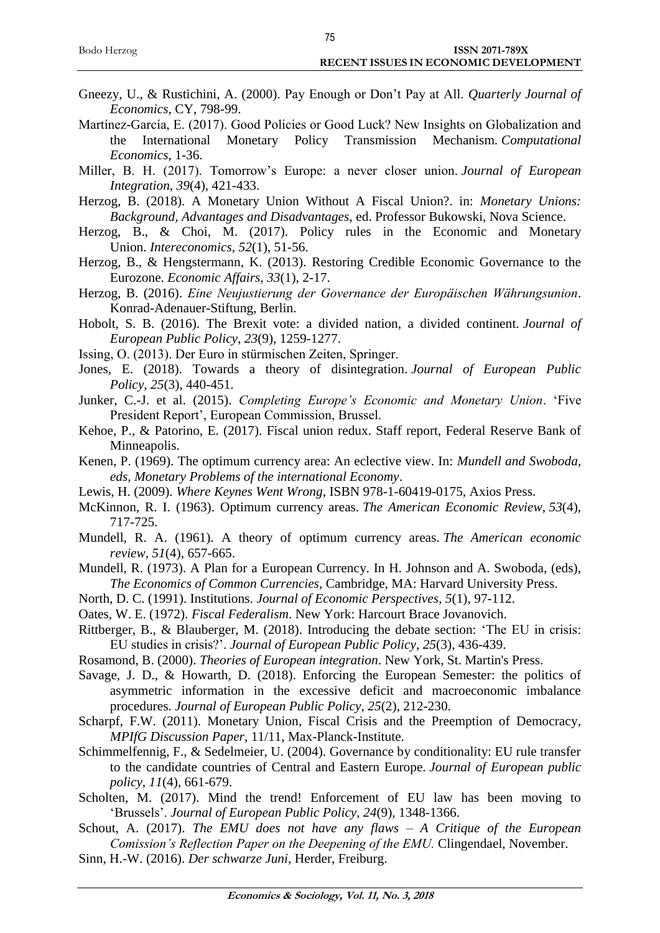- Gneezy, U., & Rustichini, A. (2000). Pay Enough or Don't Pay at All. *Quarterly Journal of Economics*, CY, 798-99.
- Martínez-García, E. (2017). Good Policies or Good Luck? New Insights on Globalization and the International Monetary Policy Transmission Mechanism. *Computational Economics*, 1-36.
- Miller, B. H. (2017). Tomorrow's Europe: a never closer union. *Journal of European Integration*, *39*(4), 421-433.
- Herzog, B. (2018). A Monetary Union Without A Fiscal Union?. in: *Monetary Unions: Background, Advantages and Disadvantages*, ed. Professor Bukowski, Nova Science.
- Herzog, B., & Choi, M. (2017). Policy rules in the Economic and Monetary Union. *Intereconomics*, *52*(1), 51-56.
- Herzog, B., & Hengstermann, K. (2013). Restoring Credible Economic Governance to the Eurozone. *Economic Affairs*, *33*(1), 2-17.
- Herzog, B. (2016). *Eine Neujustierung der Governance der Europäischen Währungsunion*. Konrad-Adenauer-Stiftung, Berlin.
- Hobolt, S. B. (2016). The Brexit vote: a divided nation, a divided continent. *Journal of European Public Policy*, *23*(9), 1259-1277.
- Issing, O. (2013). Der Euro in stürmischen Zeiten, Springer.
- Jones, E. (2018). Towards a theory of disintegration. *Journal of European Public Policy*, *25*(3), 440-451.
- Junker, C.-J. et al. (2015). *Completing Europe's Economic and Monetary Union*. 'Five President Report', European Commission, Brussel.
- Kehoe, P., & Patorino, E. (2017). Fiscal union redux. Staff report, Federal Reserve Bank of Minneapolis.
- Kenen, P. (1969). The optimum currency area: An eclective view. In: *Mundell and Swoboda, eds, Monetary Problems of the international Economy*.
- Lewis, H. (2009). *Where Keynes Went Wrong*, ISBN 978-1-60419-0175, Axios Press.
- McKinnon, R. I. (1963). Optimum currency areas. *The American Economic Review*, *53*(4), 717-725.
- Mundell, R. A. (1961). A theory of optimum currency areas. *The American economic review*, *51*(4), 657-665.
- Mundell, R. (1973). A Plan for a European Currency. In H. Johnson and A. Swoboda, (eds), *The Economics of Common Currencies*, Cambridge, MA: Harvard University Press.
- North, D. C. (1991). Institutions. *Journal of Economic Perspectives*, *5*(1), 97-112.
- Oates, W. E. (1972). *Fiscal Federalism*. New York: Harcourt Brace Jovanovich.
- Rittberger, B., & Blauberger, M. (2018). Introducing the debate section: 'The EU in crisis: EU studies in crisis?'. *Journal of European Public Policy*, *25*(3), 436-439.
- Rosamond, B. (2000). *Theories of European integration*. New York, St. Martin's Press.
- Savage, J. D., & Howarth, D. (2018). Enforcing the European Semester: the politics of asymmetric information in the excessive deficit and macroeconomic imbalance procedures. *Journal of European Public Policy*, *25*(2), 212-230.
- Scharpf, F.W. (2011). Monetary Union, Fiscal Crisis and the Preemption of Democracy*, MPIfG Discussion Paper*, 11/11, Max-Planck-Institute.
- Schimmelfennig, F., & Sedelmeier, U. (2004). Governance by conditionality: EU rule transfer to the candidate countries of Central and Eastern Europe. *Journal of European public policy*, *11*(4), 661-679.
- Scholten, M. (2017). Mind the trend! Enforcement of EU law has been moving to 'Brussels'. *Journal of European Public Policy*, *24*(9), 1348-1366.
- Schout, A. (2017). *The EMU does not have any flaws – A Critique of the European Comission's Reflection Paper on the Deepening of the EMU.* Clingendael, November.
- Sinn, H.-W. (2016). *Der schwarze Juni*, Herder, Freiburg.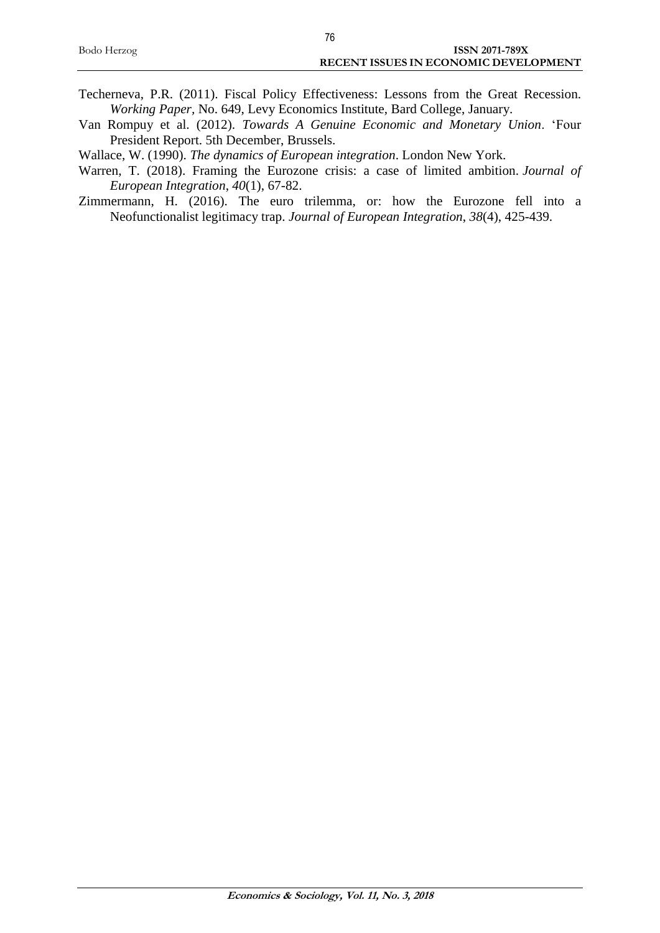| 76                                    |
|---------------------------------------|
| <b>ISSN 2071-789X</b>                 |
| RECENT ISSUES IN ECONOMIC DEVELOPMENT |
|                                       |

- Techerneva, P.R. (2011). Fiscal Policy Effectiveness: Lessons from the Great Recession. *Working Paper,* No. 649, Levy Economics Institute, Bard College, January.
- Van Rompuy et al. (2012). *Towards A Genuine Economic and Monetary Union*. 'Four President Report. 5th December, Brussels.
- Wallace, W. (1990). *The dynamics of European integration*. London New York.
- Warren, T. (2018). Framing the Eurozone crisis: a case of limited ambition. *Journal of European Integration*, *40*(1), 67-82.
- Zimmermann, H. (2016). The euro trilemma, or: how the Eurozone fell into a Neofunctionalist legitimacy trap. *Journal of European Integration*, *38*(4), 425-439.